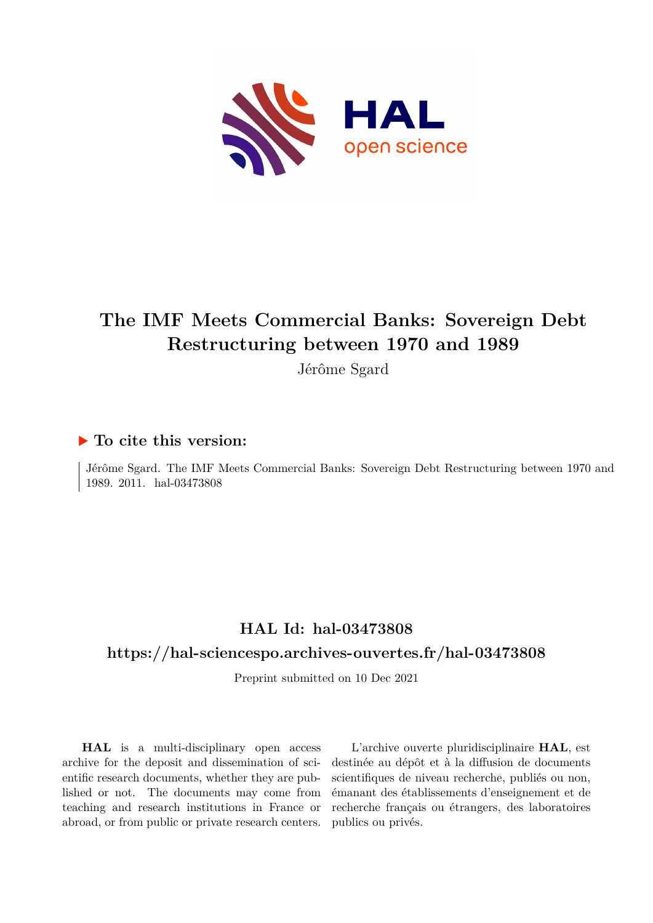

# **The IMF Meets Commercial Banks: Sovereign Debt Restructuring between 1970 and 1989**

Jérôme Sgard

# **To cite this version:**

Jérôme Sgard. The IMF Meets Commercial Banks: Sovereign Debt Restructuring between 1970 and 1989. 2011. hal-03473808

# **HAL Id: hal-03473808**

# **<https://hal-sciencespo.archives-ouvertes.fr/hal-03473808>**

Preprint submitted on 10 Dec 2021

**HAL** is a multi-disciplinary open access archive for the deposit and dissemination of scientific research documents, whether they are published or not. The documents may come from teaching and research institutions in France or abroad, or from public or private research centers.

L'archive ouverte pluridisciplinaire **HAL**, est destinée au dépôt et à la diffusion de documents scientifiques de niveau recherche, publiés ou non, émanant des établissements d'enseignement et de recherche français ou étrangers, des laboratoires publics ou privés.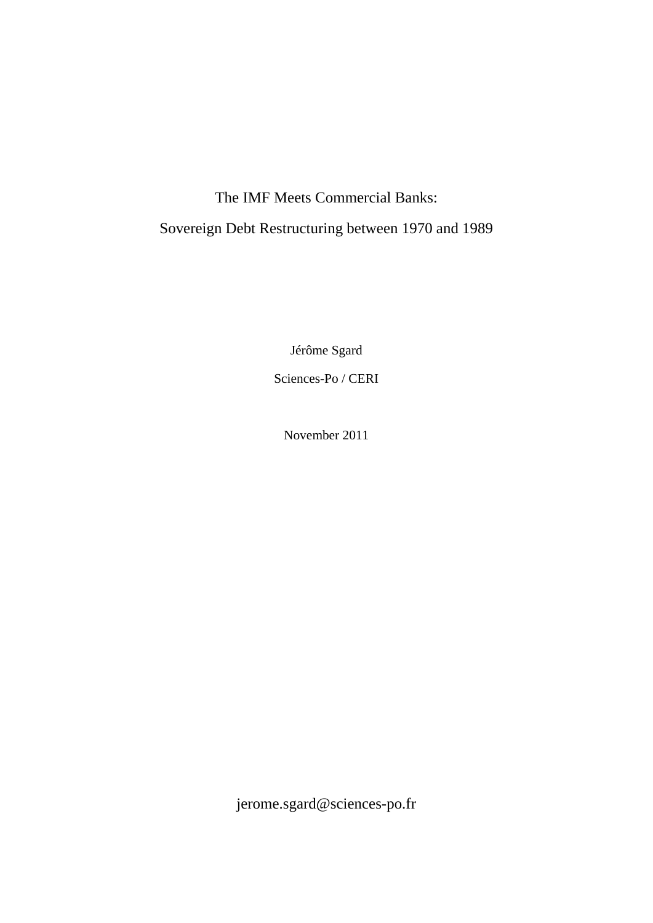# The IMF Meets Commercial Banks:

# Sovereign Debt Restructuring between 1970 and 1989

Jérôme Sgard

Sciences-Po / CERI

November 2011

jerome.sgard@sciences-po.fr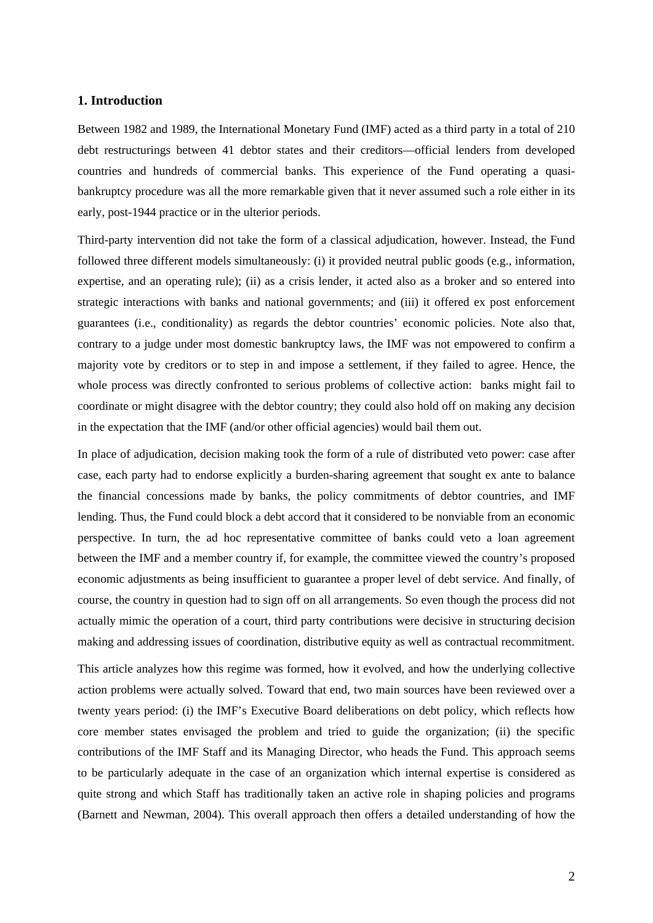## **1. Introduction**

Between 1982 and 1989, the International Monetary Fund (IMF) acted as a third party in a total of 210 debt restructurings between 41 debtor states and their creditors—official lenders from developed countries and hundreds of commercial banks. This experience of the Fund operating a quasibankruptcy procedure was all the more remarkable given that it never assumed such a role either in its early, post-1944 practice or in the ulterior periods.

Third-party intervention did not take the form of a classical adjudication, however. Instead, the Fund followed three different models simultaneously: (i) it provided neutral public goods (e.g., information, expertise, and an operating rule); (ii) as a crisis lender, it acted also as a broker and so entered into strategic interactions with banks and national governments; and (iii) it offered ex post enforcement guarantees (i.e., conditionality) as regards the debtor countries' economic policies. Note also that, contrary to a judge under most domestic bankruptcy laws, the IMF was not empowered to confirm a majority vote by creditors or to step in and impose a settlement, if they failed to agree. Hence, the whole process was directly confronted to serious problems of collective action: banks might fail to coordinate or might disagree with the debtor country; they could also hold off on making any decision in the expectation that the IMF (and/or other official agencies) would bail them out.

In place of adjudication, decision making took the form of a rule of distributed veto power: case after case, each party had to endorse explicitly a burden-sharing agreement that sought ex ante to balance the financial concessions made by banks, the policy commitments of debtor countries, and IMF lending. Thus, the Fund could block a debt accord that it considered to be nonviable from an economic perspective. In turn, the ad hoc representative committee of banks could veto a loan agreement between the IMF and a member country if, for example, the committee viewed the country's proposed economic adjustments as being insufficient to guarantee a proper level of debt service. And finally, of course, the country in question had to sign off on all arrangements. So even though the process did not actually mimic the operation of a court, third party contributions were decisive in structuring decision making and addressing issues of coordination, distributive equity as well as contractual recommitment.

This article analyzes how this regime was formed, how it evolved, and how the underlying collective action problems were actually solved. Toward that end, two main sources have been reviewed over a twenty years period: (i) the IMF's Executive Board deliberations on debt policy, which reflects how core member states envisaged the problem and tried to guide the organization; (ii) the specific contributions of the IMF Staff and its Managing Director, who heads the Fund. This approach seems to be particularly adequate in the case of an organization which internal expertise is considered as quite strong and which Staff has traditionally taken an active role in shaping policies and programs (Barnett and Newman, 2004). This overall approach then offers a detailed understanding of how the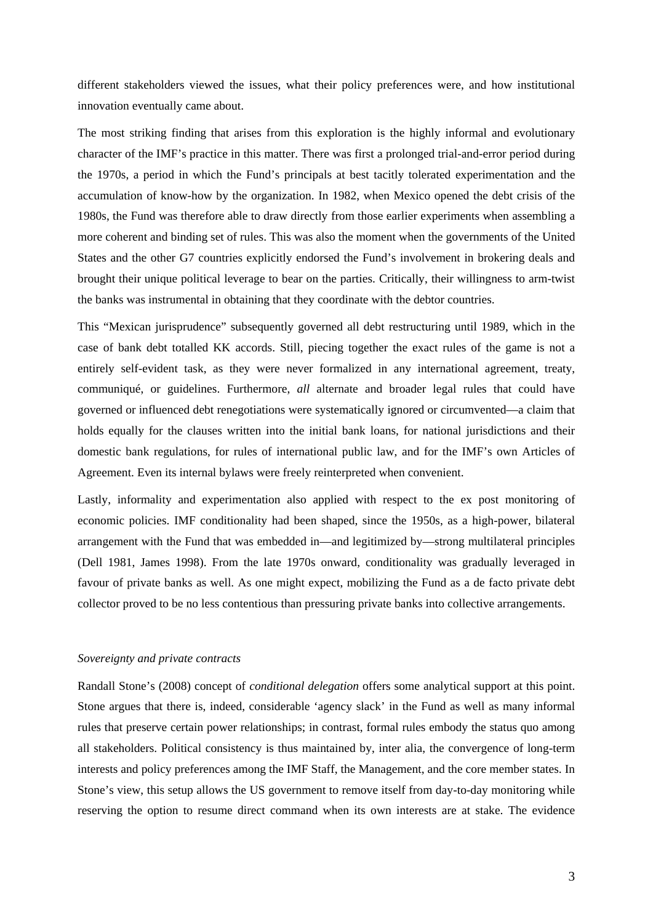different stakeholders viewed the issues, what their policy preferences were, and how institutional innovation eventually came about.

The most striking finding that arises from this exploration is the highly informal and evolutionary character of the IMF's practice in this matter. There was first a prolonged trial-and-error period during the 1970s, a period in which the Fund's principals at best tacitly tolerated experimentation and the accumulation of know-how by the organization. In 1982, when Mexico opened the debt crisis of the 1980s, the Fund was therefore able to draw directly from those earlier experiments when assembling a more coherent and binding set of rules. This was also the moment when the governments of the United States and the other G7 countries explicitly endorsed the Fund's involvement in brokering deals and brought their unique political leverage to bear on the parties. Critically, their willingness to arm-twist the banks was instrumental in obtaining that they coordinate with the debtor countries.

This "Mexican jurisprudence" subsequently governed all debt restructuring until 1989, which in the case of bank debt totalled KK accords. Still, piecing together the exact rules of the game is not a entirely self-evident task, as they were never formalized in any international agreement, treaty, communiqué, or guidelines. Furthermore, *all* alternate and broader legal rules that could have governed or influenced debt renegotiations were systematically ignored or circumvented—a claim that holds equally for the clauses written into the initial bank loans, for national jurisdictions and their domestic bank regulations, for rules of international public law, and for the IMF's own Articles of Agreement. Even its internal bylaws were freely reinterpreted when convenient.

Lastly, informality and experimentation also applied with respect to the ex post monitoring of economic policies. IMF conditionality had been shaped, since the 1950s, as a high-power, bilateral arrangement with the Fund that was embedded in—and legitimized by—strong multilateral principles (Dell 1981, James 1998). From the late 1970s onward, conditionality was gradually leveraged in favour of private banks as well. As one might expect, mobilizing the Fund as a de facto private debt collector proved to be no less contentious than pressuring private banks into collective arrangements.

#### *Sovereignty and private contracts*

Randall Stone's (2008) concept of *conditional delegation* offers some analytical support at this point. Stone argues that there is, indeed, considerable 'agency slack' in the Fund as well as many informal rules that preserve certain power relationships; in contrast, formal rules embody the status quo among all stakeholders. Political consistency is thus maintained by, inter alia, the convergence of long-term interests and policy preferences among the IMF Staff, the Management, and the core member states. In Stone's view, this setup allows the US government to remove itself from day-to-day monitoring while reserving the option to resume direct command when its own interests are at stake. The evidence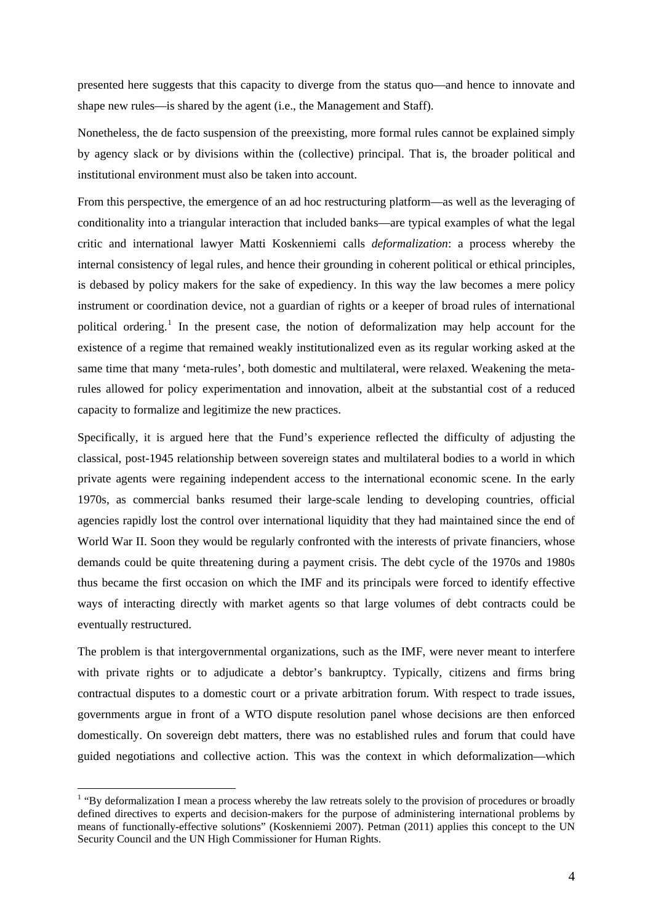presented here suggests that this capacity to diverge from the status quo—and hence to innovate and shape new rules—is shared by the agent (i.e., the Management and Staff).

Nonetheless, the de facto suspension of the preexisting, more formal rules cannot be explained simply by agency slack or by divisions within the (collective) principal. That is, the broader political and institutional environment must also be taken into account.

From this perspective, the emergence of an ad hoc restructuring platform—as well as the leveraging of conditionality into a triangular interaction that included banks—are typical examples of what the legal critic and international lawyer Matti Koskenniemi calls *deformalization*: a process whereby the internal consistency of legal rules, and hence their grounding in coherent political or ethical principles, is debased by policy makers for the sake of expediency. In this way the law becomes a mere policy instrument or coordination device, not a guardian of rights or a keeper of broad rules of international political ordering.<sup>[1](#page-4-0)</sup> In the present case, the notion of deformalization may help account for the existence of a regime that remained weakly institutionalized even as its regular working asked at the same time that many 'meta-rules', both domestic and multilateral, were relaxed. Weakening the metarules allowed for policy experimentation and innovation, albeit at the substantial cost of a reduced capacity to formalize and legitimize the new practices.

Specifically, it is argued here that the Fund's experience reflected the difficulty of adjusting the classical, post-1945 relationship between sovereign states and multilateral bodies to a world in which private agents were regaining independent access to the international economic scene. In the early 1970s, as commercial banks resumed their large-scale lending to developing countries, official agencies rapidly lost the control over international liquidity that they had maintained since the end of World War II. Soon they would be regularly confronted with the interests of private financiers, whose demands could be quite threatening during a payment crisis. The debt cycle of the 1970s and 1980s thus became the first occasion on which the IMF and its principals were forced to identify effective ways of interacting directly with market agents so that large volumes of debt contracts could be eventually restructured.

The problem is that intergovernmental organizations, such as the IMF, were never meant to interfere with private rights or to adjudicate a debtor's bankruptcy. Typically, citizens and firms bring contractual disputes to a domestic court or a private arbitration forum. With respect to trade issues, governments argue in front of a WTO dispute resolution panel whose decisions are then enforced domestically. On sovereign debt matters, there was no established rules and forum that could have guided negotiations and collective action. This was the context in which deformalization—which

<span id="page-4-0"></span> $<sup>1</sup>$  "By deformalization I mean a process whereby the law retreats solely to the provision of procedures or broadly</sup> defined directives to experts and decision-makers for the purpose of administering international problems by means of functionally-effective solutions" (Koskenniemi 2007). Petman (2011) applies this concept to the UN Security Council and the UN High Commissioner for Human Rights.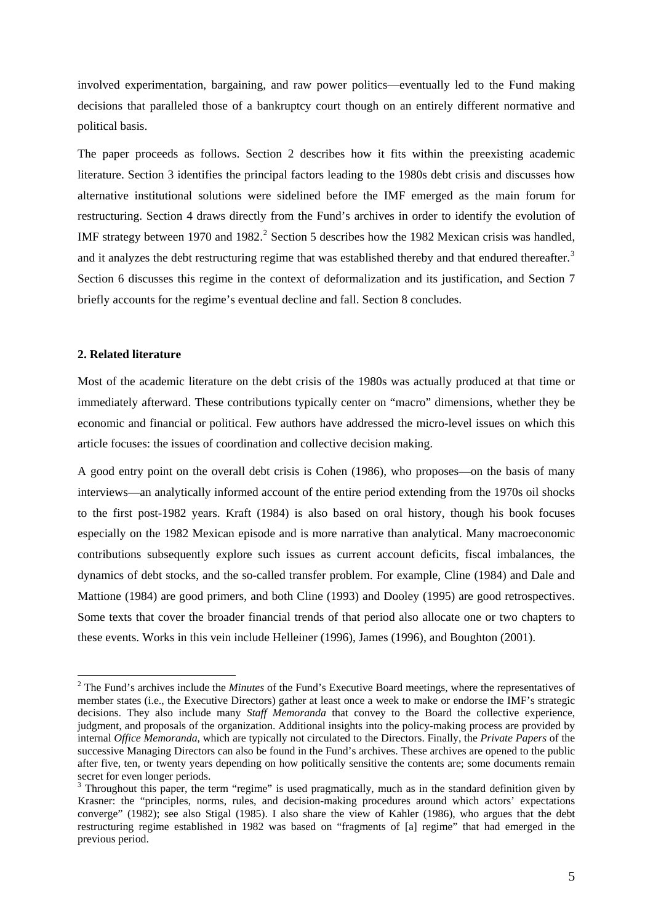involved experimentation, bargaining, and raw power politics—eventually led to the Fund making decisions that paralleled those of a bankruptcy court though on an entirely different normative and political basis.

The paper proceeds as follows. Section 2 describes how it fits within the preexisting academic literature. Section 3 identifies the principal factors leading to the 1980s debt crisis and discusses how alternative institutional solutions were sidelined before the IMF emerged as the main forum for restructuring. Section 4 draws directly from the Fund's archives in order to identify the evolution of IMF strategy between 1970 and 198[2](#page-5-0).<sup>2</sup> Section 5 describes how the 1982 Mexican crisis was handled, and it analyzes the debt restructuring regime that was established thereby and that endured thereafter.<sup>[3](#page-5-1)</sup> Section 6 discusses this regime in the context of deformalization and its justification, and Section 7 briefly accounts for the regime's eventual decline and fall. Section 8 concludes.

### **2. Related literature**

1

Most of the academic literature on the debt crisis of the 1980s was actually produced at that time or immediately afterward. These contributions typically center on "macro" dimensions, whether they be economic and financial or political. Few authors have addressed the micro-level issues on which this article focuses: the issues of coordination and collective decision making.

A good entry point on the overall debt crisis is Cohen (1986), who proposes—on the basis of many interviews—an analytically informed account of the entire period extending from the 1970s oil shocks to the first post-1982 years. Kraft (1984) is also based on oral history, though his book focuses especially on the 1982 Mexican episode and is more narrative than analytical. Many macroeconomic contributions subsequently explore such issues as current account deficits, fiscal imbalances, the dynamics of debt stocks, and the so-called transfer problem. For example, Cline (1984) and Dale and Mattione (1984) are good primers, and both Cline (1993) and Dooley (1995) are good retrospectives. Some texts that cover the broader financial trends of that period also allocate one or two chapters to these events. Works in this vein include Helleiner (1996), James (1996), and Boughton (2001).

<span id="page-5-0"></span><sup>&</sup>lt;sup>2</sup> The Fund's archives include the *Minutes* of the Fund's Executive Board meetings, where the representatives of member states (i.e., the Executive Directors) gather at least once a week to make or endorse the IMF's strategic decisions. They also include many *Staff Memoranda* that convey to the Board the collective experience, judgment, and proposals of the organization. Additional insights into the policy-making process are provided by internal *Office Memoranda*, which are typically not circulated to the Directors. Finally, the *Private Papers* of the successive Managing Directors can also be found in the Fund's archives. These archives are opened to the public after five, ten, or twenty years depending on how politically sensitive the contents are; some documents remain secret for even longer periods.

<span id="page-5-1"></span> $3$  Throughout this paper, the term "regime" is used pragmatically, much as in the standard definition given by Krasner: the "principles, norms, rules, and decision-making procedures around which actors' expectations converge" (1982); see also Stigal (1985). I also share the view of Kahler (1986), who argues that the debt restructuring regime established in 1982 was based on "fragments of [a] regime" that had emerged in the previous period.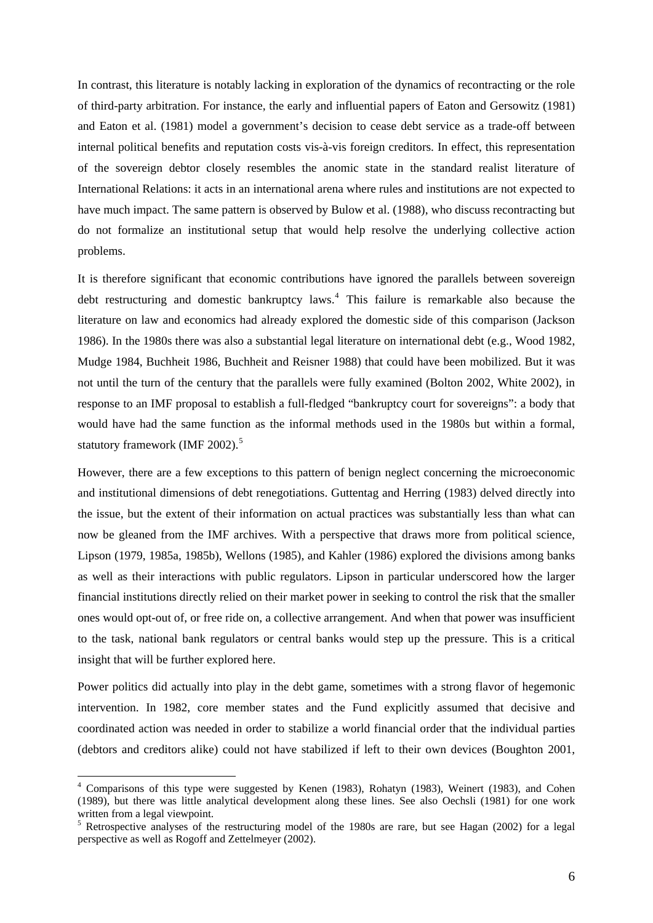In contrast, this literature is notably lacking in exploration of the dynamics of recontracting or the role of third-party arbitration. For instance, the early and influential papers of Eaton and Gersowitz (1981) and Eaton et al. (1981) model a government's decision to cease debt service as a trade-off between internal political benefits and reputation costs vis-à-vis foreign creditors. In effect, this representation of the sovereign debtor closely resembles the anomic state in the standard realist literature of International Relations: it acts in an international arena where rules and institutions are not expected to have much impact. The same pattern is observed by Bulow et al. (1988), who discuss recontracting but do not formalize an institutional setup that would help resolve the underlying collective action problems.

It is therefore significant that economic contributions have ignored the parallels between sovereign debt restructuring and domestic bankruptcy laws.<sup>[4](#page-6-0)</sup> This failure is remarkable also because the literature on law and economics had already explored the domestic side of this comparison (Jackson 1986). In the 1980s there was also a substantial legal literature on international debt (e.g., Wood 1982, Mudge 1984, Buchheit 1986, Buchheit and Reisner 1988) that could have been mobilized. But it was not until the turn of the century that the parallels were fully examined (Bolton 2002, White 2002), in response to an IMF proposal to establish a full-fledged "bankruptcy court for sovereigns": a body that would have had the same function as the informal methods used in the 1980s but within a formal, statutory framework (IMF 2002).<sup>[5](#page-6-1)</sup>

However, there are a few exceptions to this pattern of benign neglect concerning the microeconomic and institutional dimensions of debt renegotiations. Guttentag and Herring (1983) delved directly into the issue, but the extent of their information on actual practices was substantially less than what can now be gleaned from the IMF archives. With a perspective that draws more from political science, Lipson (1979, 1985a, 1985b), Wellons (1985), and Kahler (1986) explored the divisions among banks as well as their interactions with public regulators. Lipson in particular underscored how the larger financial institutions directly relied on their market power in seeking to control the risk that the smaller ones would opt-out of, or free ride on, a collective arrangement. And when that power was insufficient to the task, national bank regulators or central banks would step up the pressure. This is a critical insight that will be further explored here.

Power politics did actually into play in the debt game, sometimes with a strong flavor of hegemonic intervention. In 1982, core member states and the Fund explicitly assumed that decisive and coordinated action was needed in order to stabilize a world financial order that the individual parties (debtors and creditors alike) could not have stabilized if left to their own devices (Boughton 2001,

<span id="page-6-0"></span><sup>4</sup> Comparisons of this type were suggested by Kenen (1983), Rohatyn (1983), Weinert (1983), and Cohen (1989), but there was little analytical development along these lines. See also Oechsli (1981) for one work written from a legal viewpoint.

<span id="page-6-1"></span><sup>&</sup>lt;sup>5</sup> Retrospective analyses of the restructuring model of the 1980s are rare, but see Hagan (2002) for a legal perspective as well as Rogoff and Zettelmeyer (2002).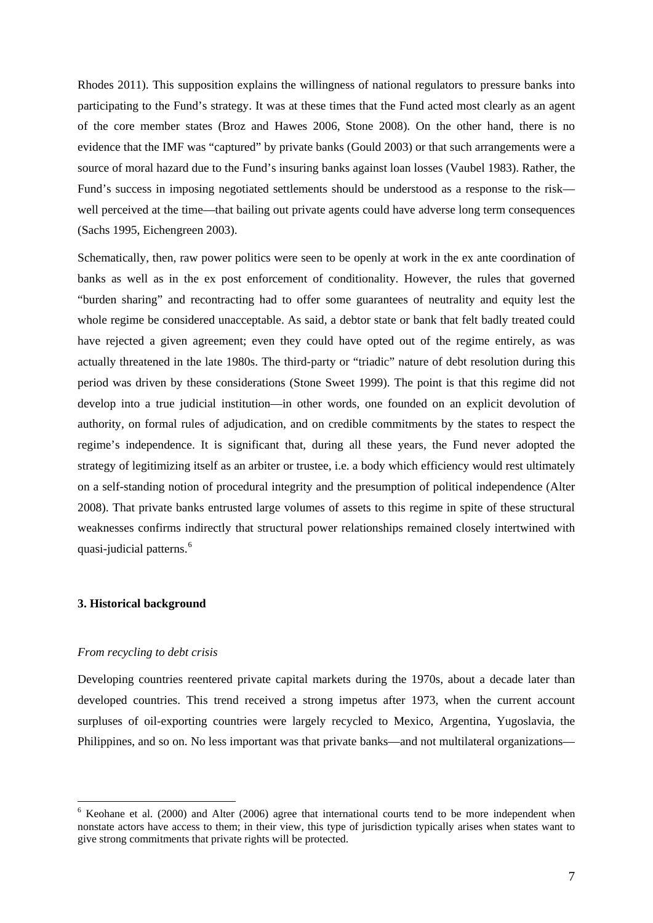Rhodes 2011). This supposition explains the willingness of national regulators to pressure banks into participating to the Fund's strategy. It was at these times that the Fund acted most clearly as an agent of the core member states (Broz and Hawes 2006, Stone 2008). On the other hand, there is no evidence that the IMF was "captured" by private banks (Gould 2003) or that such arrangements were a source of moral hazard due to the Fund's insuring banks against loan losses (Vaubel 1983). Rather, the Fund's success in imposing negotiated settlements should be understood as a response to the risk well perceived at the time—that bailing out private agents could have adverse long term consequences (Sachs 1995, Eichengreen 2003).

Schematically, then, raw power politics were seen to be openly at work in the ex ante coordination of banks as well as in the ex post enforcement of conditionality. However, the rules that governed "burden sharing" and recontracting had to offer some guarantees of neutrality and equity lest the whole regime be considered unacceptable. As said, a debtor state or bank that felt badly treated could have rejected a given agreement; even they could have opted out of the regime entirely, as was actually threatened in the late 1980s. The third-party or "triadic" nature of debt resolution during this period was driven by these considerations (Stone Sweet 1999). The point is that this regime did not develop into a true judicial institution—in other words, one founded on an explicit devolution of authority, on formal rules of adjudication, and on credible commitments by the states to respect the regime's independence. It is significant that, during all these years, the Fund never adopted the strategy of legitimizing itself as an arbiter or trustee, i.e. a body which efficiency would rest ultimately on a self-standing notion of procedural integrity and the presumption of political independence (Alter 2008). That private banks entrusted large volumes of assets to this regime in spite of these structural weaknesses confirms indirectly that structural power relationships remained closely intertwined with quasi-judicial patterns.<sup>[6](#page-7-0)</sup>

#### **3. Historical background**

#### *From recycling to debt crisis*

1

Developing countries reentered private capital markets during the 1970s, about a decade later than developed countries. This trend received a strong impetus after 1973, when the current account surpluses of oil-exporting countries were largely recycled to Mexico, Argentina, Yugoslavia, the Philippines, and so on. No less important was that private banks—and not multilateral organizations—

<span id="page-7-0"></span> $6$  Keohane et al. (2000) and Alter (2006) agree that international courts tend to be more independent when nonstate actors have access to them; in their view, this type of jurisdiction typically arises when states want to give strong commitments that private rights will be protected.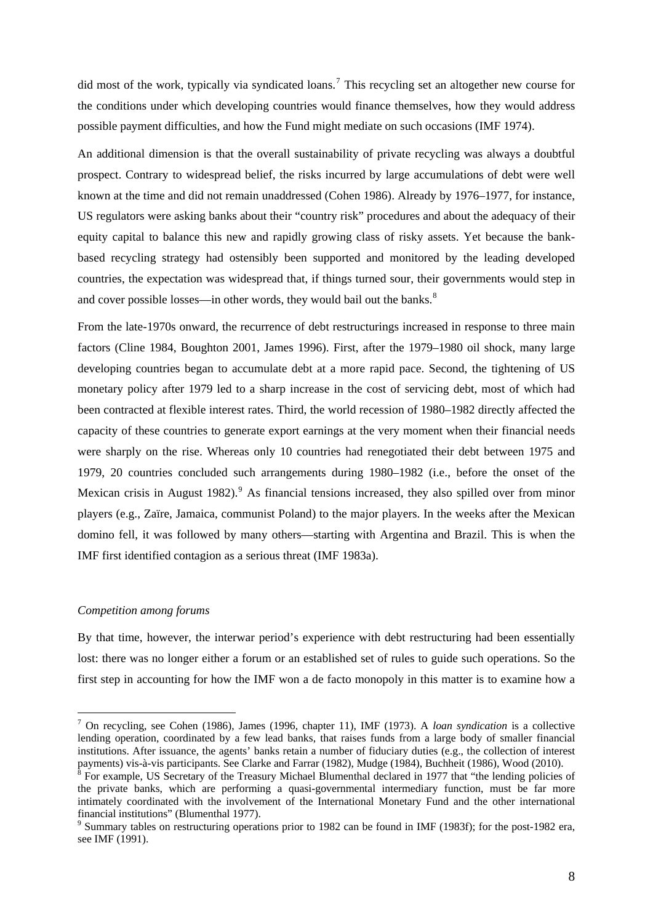did most of the work, typically via syndicated loans.<sup>[7](#page-8-0)</sup> This recycling set an altogether new course for the conditions under which developing countries would finance themselves, how they would address possible payment difficulties, and how the Fund might mediate on such occasions (IMF 1974).

An additional dimension is that the overall sustainability of private recycling was always a doubtful prospect. Contrary to widespread belief, the risks incurred by large accumulations of debt were well known at the time and did not remain unaddressed (Cohen 1986). Already by 1976–1977, for instance, US regulators were asking banks about their "country risk" procedures and about the adequacy of their equity capital to balance this new and rapidly growing class of risky assets. Yet because the bankbased recycling strategy had ostensibly been supported and monitored by the leading developed countries, the expectation was widespread that, if things turned sour, their governments would step in and cover possible losses—in other words, they would bail out the banks.<sup>[8](#page-8-1)</sup>

From the late-1970s onward, the recurrence of debt restructurings increased in response to three main factors (Cline 1984, Boughton 2001, James 1996). First, after the 1979–1980 oil shock, many large developing countries began to accumulate debt at a more rapid pace. Second, the tightening of US monetary policy after 1979 led to a sharp increase in the cost of servicing debt, most of which had been contracted at flexible interest rates. Third, the world recession of 1980–1982 directly affected the capacity of these countries to generate export earnings at the very moment when their financial needs were sharply on the rise. Whereas only 10 countries had renegotiated their debt between 1975 and 1979, 20 countries concluded such arrangements during 1980–1982 (i.e., before the onset of the Mexican crisis in August 1[9](#page-8-2)82).  $9$  As financial tensions increased, they also spilled over from minor players (e.g., Zaïre, Jamaica, communist Poland) to the major players. In the weeks after the Mexican domino fell, it was followed by many others—starting with Argentina and Brazil. This is when the IMF first identified contagion as a serious threat (IMF 1983a).

#### *Competition among forums*

1

By that time, however, the interwar period's experience with debt restructuring had been essentially lost: there was no longer either a forum or an established set of rules to guide such operations. So the first step in accounting for how the IMF won a de facto monopoly in this matter is to examine how a

<span id="page-8-0"></span><sup>7</sup> On recycling, see Cohen (1986), James (1996, chapter 11), IMF (1973). A *loan syndication* is a collective lending operation, coordinated by a few lead banks, that raises funds from a large body of smaller financial institutions. After issuance, the agents' banks retain a number of fiduciary duties (e.g., the collection of interest payments) vis-à-vis participants. See Clarke and Farrar (1982), Mudge (1984), Buchheit (1986), Wood (2010).

<span id="page-8-1"></span> $8$  For example, US Secretary of the Treasury Michael Blumenthal declared in 1977 that "the lending policies of the private banks, which are performing a quasi-governmental intermediary function, must be far more intimately coordinated with the involvement of the International Monetary Fund and the other international financial institutions" (Blumenthal 1977).

<span id="page-8-2"></span><sup>&</sup>lt;sup>9</sup> Summary tables on restructuring operations prior to 1982 can be found in IMF (1983f); for the post-1982 era, see IMF (1991).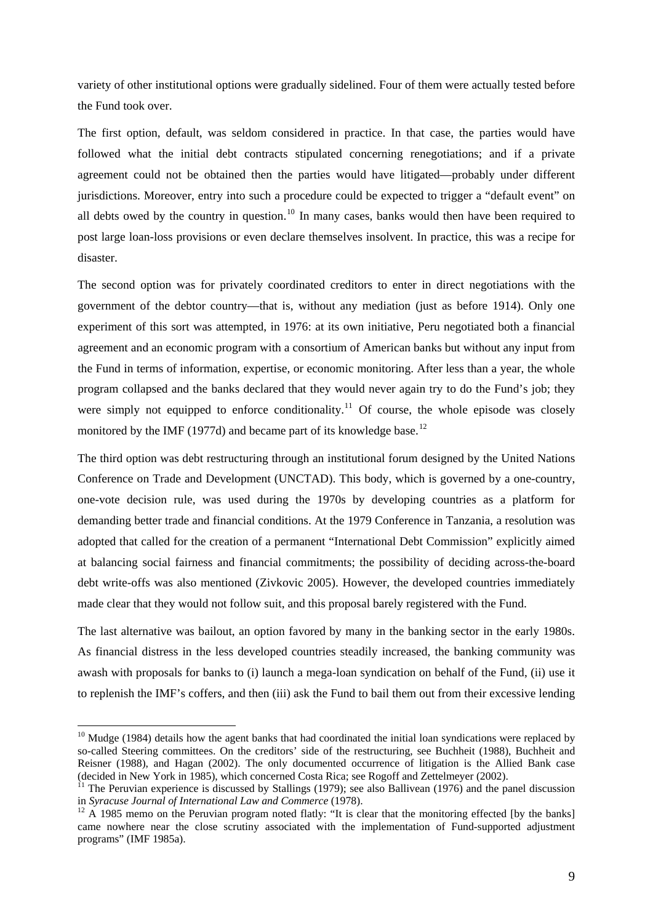variety of other institutional options were gradually sidelined. Four of them were actually tested before the Fund took over.

The first option, default, was seldom considered in practice. In that case, the parties would have followed what the initial debt contracts stipulated concerning renegotiations; and if a private agreement could not be obtained then the parties would have litigated—probably under different jurisdictions. Moreover, entry into such a procedure could be expected to trigger a "default event" on all debts owed by the country in question.<sup>[10](#page-9-0)</sup> In many cases, banks would then have been required to post large loan-loss provisions or even declare themselves insolvent. In practice, this was a recipe for disaster.

The second option was for privately coordinated creditors to enter in direct negotiations with the government of the debtor country—that is, without any mediation (just as before 1914). Only one experiment of this sort was attempted, in 1976: at its own initiative, Peru negotiated both a financial agreement and an economic program with a consortium of American banks but without any input from the Fund in terms of information, expertise, or economic monitoring. After less than a year, the whole program collapsed and the banks declared that they would never again try to do the Fund's job; they were simply not equipped to enforce conditionality.<sup>[11](#page-9-1)</sup> Of course, the whole episode was closely monitored by the IMF (1977d) and became part of its knowledge base.<sup>[12](#page-9-2)</sup>

The third option was debt restructuring through an institutional forum designed by the United Nations Conference on Trade and Development (UNCTAD). This body, which is governed by a one-country, one-vote decision rule, was used during the 1970s by developing countries as a platform for demanding better trade and financial conditions. At the 1979 Conference in Tanzania, a resolution was adopted that called for the creation of a permanent "International Debt Commission" explicitly aimed at balancing social fairness and financial commitments; the possibility of deciding across-the-board debt write-offs was also mentioned (Zivkovic 2005). However, the developed countries immediately made clear that they would not follow suit, and this proposal barely registered with the Fund.

The last alternative was bailout, an option favored by many in the banking sector in the early 1980s. As financial distress in the less developed countries steadily increased, the banking community was awash with proposals for banks to (i) launch a mega-loan syndication on behalf of the Fund, (ii) use it to replenish the IMF's coffers, and then (iii) ask the Fund to bail them out from their excessive lending

<span id="page-9-0"></span> $10$  Mudge (1984) details how the agent banks that had coordinated the initial loan syndications were replaced by so-called Steering committees. On the creditors' side of the restructuring, see Buchheit (1988), Buchheit and Reisner (1988), and Hagan (2002). The only documented occurrence of litigation is the Allied Bank case (decided in New York in 1985), which concerned Costa Rica; see Rogoff and Zettelmeyer (2002).

<span id="page-9-1"></span><sup>&</sup>lt;sup>11</sup> The Peruvian experience is discussed by Stallings (1979); see also Ballivean (1976) and the panel discussion in Syracuse Journal of International Law and Commerce (1978).

<span id="page-9-2"></span><sup>&</sup>lt;sup>12</sup> A 1985 memo on the Peruvian program noted flatly: "It is clear that the monitoring effected [by the banks] came nowhere near the close scrutiny associated with the implementation of Fund-supported adjustment programs" (IMF 1985a).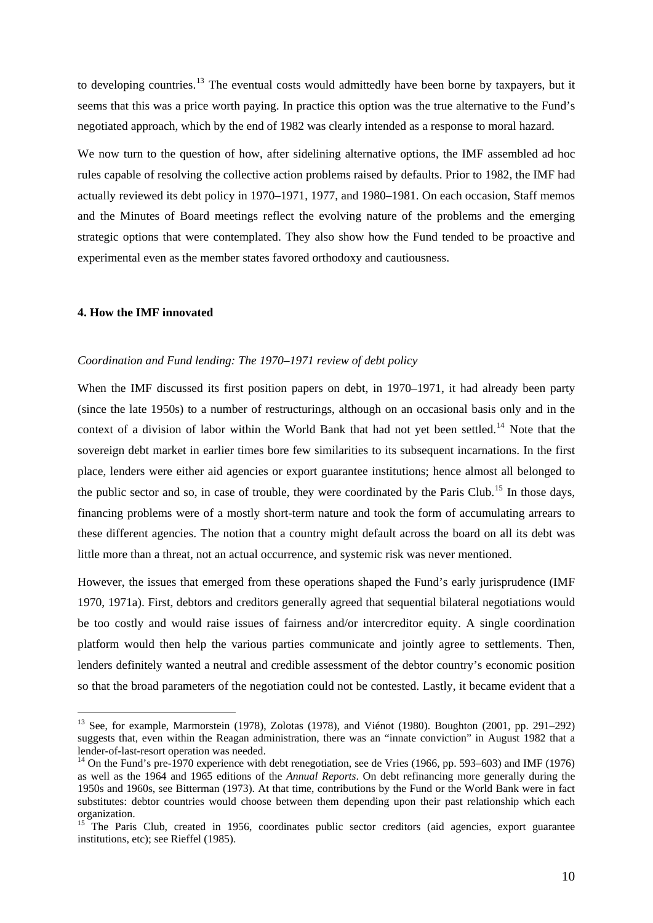to developing countries.<sup>[13](#page-10-0)</sup> The eventual costs would admittedly have been borne by taxpayers, but it seems that this was a price worth paying. In practice this option was the true alternative to the Fund's negotiated approach, which by the end of 1982 was clearly intended as a response to moral hazard.

We now turn to the question of how, after sidelining alternative options, the IMF assembled ad hoc rules capable of resolving the collective action problems raised by defaults. Prior to 1982, the IMF had actually reviewed its debt policy in 1970–1971, 1977, and 1980–1981. On each occasion, Staff memos and the Minutes of Board meetings reflect the evolving nature of the problems and the emerging strategic options that were contemplated. They also show how the Fund tended to be proactive and experimental even as the member states favored orthodoxy and cautiousness.

#### **4. How the IMF innovated**

1

#### *Coordination and Fund lending: The 1970–1971 review of debt policy*

When the IMF discussed its first position papers on debt, in 1970–1971, it had already been party (since the late 1950s) to a number of restructurings, although on an occasional basis only and in the context of a division of labor within the World Bank that had not yet been settled.<sup>[14](#page-10-1)</sup> Note that the sovereign debt market in earlier times bore few similarities to its subsequent incarnations. In the first place, lenders were either aid agencies or export guarantee institutions; hence almost all belonged to the public sector and so, in case of trouble, they were coordinated by the Paris Club.<sup>[15](#page-10-2)</sup> In those days, financing problems were of a mostly short-term nature and took the form of accumulating arrears to these different agencies. The notion that a country might default across the board on all its debt was little more than a threat, not an actual occurrence, and systemic risk was never mentioned.

However, the issues that emerged from these operations shaped the Fund's early jurisprudence (IMF 1970, 1971a). First, debtors and creditors generally agreed that sequential bilateral negotiations would be too costly and would raise issues of fairness and/or intercreditor equity. A single coordination platform would then help the various parties communicate and jointly agree to settlements. Then, lenders definitely wanted a neutral and credible assessment of the debtor country's economic position so that the broad parameters of the negotiation could not be contested. Lastly, it became evident that a

<span id="page-10-0"></span><sup>&</sup>lt;sup>13</sup> See, for example, Marmorstein (1978), Zolotas (1978), and Viénot (1980). Boughton (2001, pp. 291–292) suggests that, even within the Reagan administration, there was an "innate conviction" in August 1982 that a lender-of-last-resort operation was needed.

<span id="page-10-1"></span><sup>&</sup>lt;sup>14</sup> On the Fund's pre-1970 experience with debt renegotiation, see de Vries (1966, pp. 593–603) and IMF (1976) as well as the 1964 and 1965 editions of the *Annual Reports*. On debt refinancing more generally during the 1950s and 1960s, see Bitterman (1973). At that time, contributions by the Fund or the World Bank were in fact substitutes: debtor countries would choose between them depending upon their past relationship which each organization.

<span id="page-10-2"></span><sup>&</sup>lt;sup>15</sup> The Paris Club, created in 1956, coordinates public sector creditors (aid agencies, export guarantee institutions, etc); see Rieffel (1985).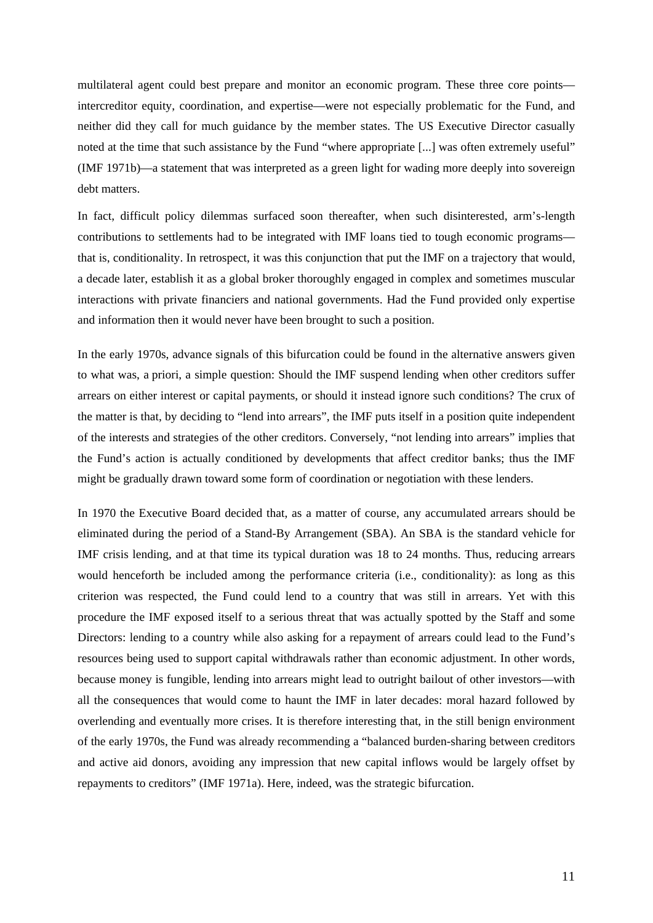multilateral agent could best prepare and monitor an economic program. These three core points intercreditor equity, coordination, and expertise—were not especially problematic for the Fund, and neither did they call for much guidance by the member states. The US Executive Director casually noted at the time that such assistance by the Fund "where appropriate [...] was often extremely useful" (IMF 1971b)—a statement that was interpreted as a green light for wading more deeply into sovereign debt matters.

In fact, difficult policy dilemmas surfaced soon thereafter, when such disinterested, arm's-length contributions to settlements had to be integrated with IMF loans tied to tough economic programs that is, conditionality. In retrospect, it was this conjunction that put the IMF on a trajectory that would, a decade later, establish it as a global broker thoroughly engaged in complex and sometimes muscular interactions with private financiers and national governments. Had the Fund provided only expertise and information then it would never have been brought to such a position.

In the early 1970s, advance signals of this bifurcation could be found in the alternative answers given to what was, a priori, a simple question: Should the IMF suspend lending when other creditors suffer arrears on either interest or capital payments, or should it instead ignore such conditions? The crux of the matter is that, by deciding to "lend into arrears", the IMF puts itself in a position quite independent of the interests and strategies of the other creditors. Conversely, "not lending into arrears" implies that the Fund's action is actually conditioned by developments that affect creditor banks; thus the IMF might be gradually drawn toward some form of coordination or negotiation with these lenders.

In 1970 the Executive Board decided that, as a matter of course, any accumulated arrears should be eliminated during the period of a Stand-By Arrangement (SBA). An SBA is the standard vehicle for IMF crisis lending, and at that time its typical duration was 18 to 24 months. Thus, reducing arrears would henceforth be included among the performance criteria (i.e., conditionality): as long as this criterion was respected, the Fund could lend to a country that was still in arrears. Yet with this procedure the IMF exposed itself to a serious threat that was actually spotted by the Staff and some Directors: lending to a country while also asking for a repayment of arrears could lead to the Fund's resources being used to support capital withdrawals rather than economic adjustment. In other words, because money is fungible, lending into arrears might lead to outright bailout of other investors—with all the consequences that would come to haunt the IMF in later decades: moral hazard followed by overlending and eventually more crises. It is therefore interesting that, in the still benign environment of the early 1970s, the Fund was already recommending a "balanced burden-sharing between creditors and active aid donors, avoiding any impression that new capital inflows would be largely offset by repayments to creditors" (IMF 1971a). Here, indeed, was the strategic bifurcation.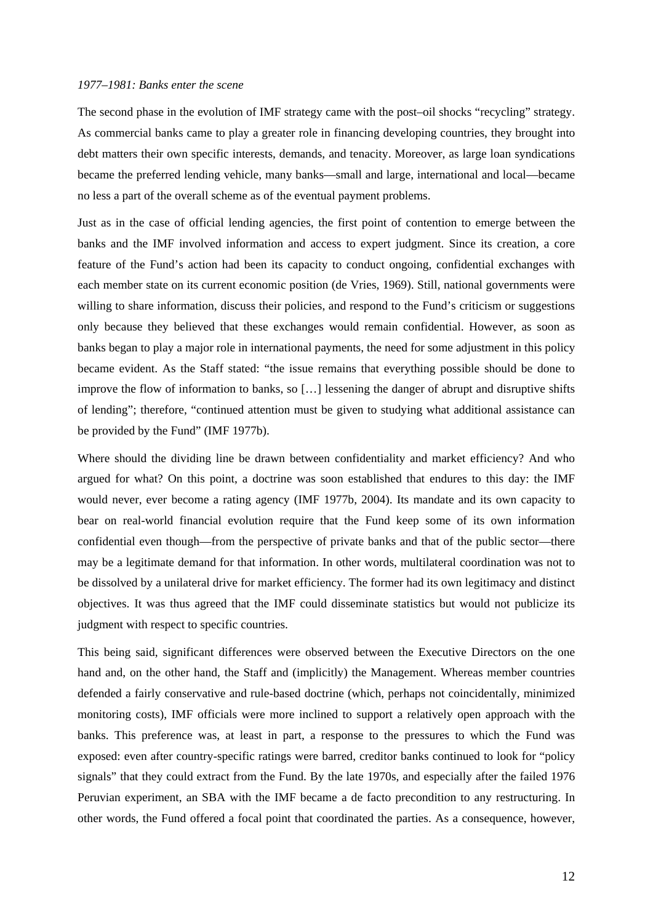#### *1977–1981: Banks enter the scene*

The second phase in the evolution of IMF strategy came with the post–oil shocks "recycling" strategy. As commercial banks came to play a greater role in financing developing countries, they brought into debt matters their own specific interests, demands, and tenacity. Moreover, as large loan syndications became the preferred lending vehicle, many banks—small and large, international and local—became no less a part of the overall scheme as of the eventual payment problems.

Just as in the case of official lending agencies, the first point of contention to emerge between the banks and the IMF involved information and access to expert judgment. Since its creation, a core feature of the Fund's action had been its capacity to conduct ongoing, confidential exchanges with each member state on its current economic position (de Vries, 1969). Still, national governments were willing to share information, discuss their policies, and respond to the Fund's criticism or suggestions only because they believed that these exchanges would remain confidential. However, as soon as banks began to play a major role in international payments, the need for some adjustment in this policy became evident. As the Staff stated: "the issue remains that everything possible should be done to improve the flow of information to banks, so […] lessening the danger of abrupt and disruptive shifts of lending"; therefore, "continued attention must be given to studying what additional assistance can be provided by the Fund" (IMF 1977b).

Where should the dividing line be drawn between confidentiality and market efficiency? And who argued for what? On this point, a doctrine was soon established that endures to this day: the IMF would never, ever become a rating agency (IMF 1977b, 2004). Its mandate and its own capacity to bear on real-world financial evolution require that the Fund keep some of its own information confidential even though—from the perspective of private banks and that of the public sector—there may be a legitimate demand for that information. In other words, multilateral coordination was not to be dissolved by a unilateral drive for market efficiency. The former had its own legitimacy and distinct objectives. It was thus agreed that the IMF could disseminate statistics but would not publicize its judgment with respect to specific countries.

This being said, significant differences were observed between the Executive Directors on the one hand and, on the other hand, the Staff and (implicitly) the Management. Whereas member countries defended a fairly conservative and rule-based doctrine (which, perhaps not coincidentally, minimized monitoring costs), IMF officials were more inclined to support a relatively open approach with the banks. This preference was, at least in part, a response to the pressures to which the Fund was exposed: even after country-specific ratings were barred, creditor banks continued to look for "policy signals" that they could extract from the Fund. By the late 1970s, and especially after the failed 1976 Peruvian experiment, an SBA with the IMF became a de facto precondition to any restructuring. In other words, the Fund offered a focal point that coordinated the parties. As a consequence, however,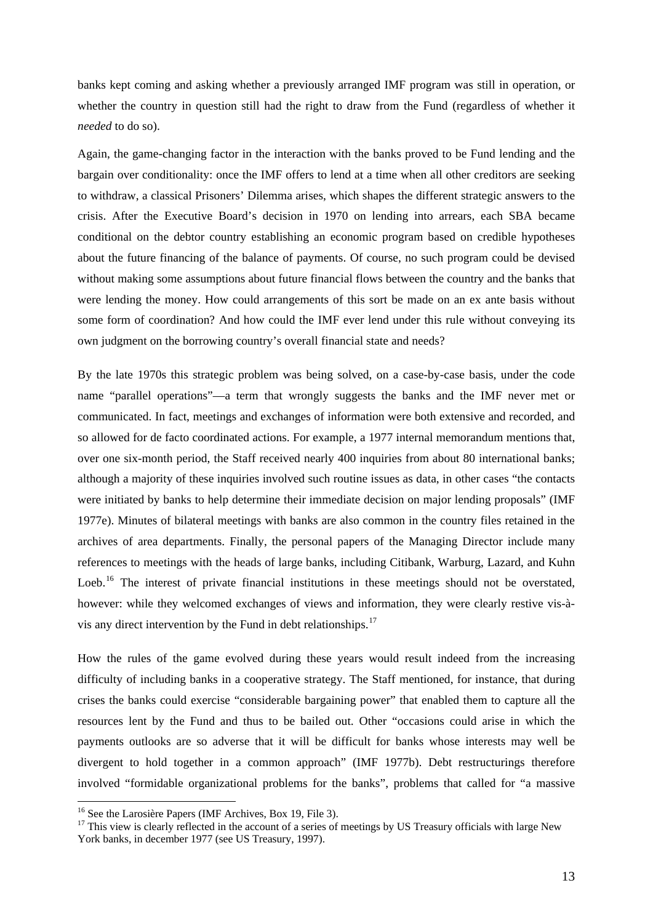banks kept coming and asking whether a previously arranged IMF program was still in operation, or whether the country in question still had the right to draw from the Fund (regardless of whether it *needed* to do so).

Again, the game-changing factor in the interaction with the banks proved to be Fund lending and the bargain over conditionality: once the IMF offers to lend at a time when all other creditors are seeking to withdraw, a classical Prisoners' Dilemma arises, which shapes the different strategic answers to the crisis. After the Executive Board's decision in 1970 on lending into arrears, each SBA became conditional on the debtor country establishing an economic program based on credible hypotheses about the future financing of the balance of payments. Of course, no such program could be devised without making some assumptions about future financial flows between the country and the banks that were lending the money. How could arrangements of this sort be made on an ex ante basis without some form of coordination? And how could the IMF ever lend under this rule without conveying its own judgment on the borrowing country's overall financial state and needs?

By the late 1970s this strategic problem was being solved, on a case-by-case basis, under the code name "parallel operations"—a term that wrongly suggests the banks and the IMF never met or communicated. In fact, meetings and exchanges of information were both extensive and recorded, and so allowed for de facto coordinated actions. For example, a 1977 internal memorandum mentions that, over one six-month period, the Staff received nearly 400 inquiries from about 80 international banks; although a majority of these inquiries involved such routine issues as data, in other cases "the contacts were initiated by banks to help determine their immediate decision on major lending proposals" (IMF 1977e). Minutes of bilateral meetings with banks are also common in the country files retained in the archives of area departments. Finally, the personal papers of the Managing Director include many references to meetings with the heads of large banks, including Citibank, Warburg, Lazard, and Kuhn Loeb.<sup>[16](#page-13-0)</sup> The interest of private financial institutions in these meetings should not be overstated, however: while they welcomed exchanges of views and information, they were clearly restive vis-àvis any direct intervention by the Fund in debt relationships.[17](#page-13-1)

How the rules of the game evolved during these years would result indeed from the increasing difficulty of including banks in a cooperative strategy. The Staff mentioned, for instance, that during crises the banks could exercise "considerable bargaining power" that enabled them to capture all the resources lent by the Fund and thus to be bailed out. Other "occasions could arise in which the payments outlooks are so adverse that it will be difficult for banks whose interests may well be divergent to hold together in a common approach" (IMF 1977b). Debt restructurings therefore involved "formidable organizational problems for the banks", problems that called for "a massive

<span id="page-13-0"></span><sup>&</sup>lt;sup>16</sup> See the Larosière Papers (IMF Archives, Box 19, File 3).

<span id="page-13-1"></span> $17$  This view is clearly reflected in the account of a series of meetings by US Treasury officials with large New York banks, in december 1977 (see US Treasury, 1997).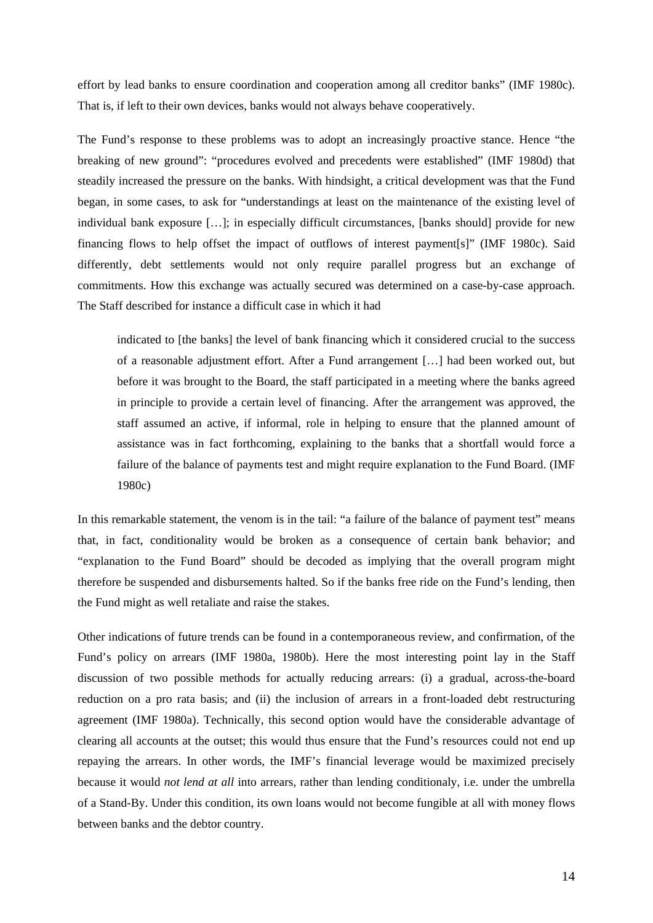effort by lead banks to ensure coordination and cooperation among all creditor banks" (IMF 1980c). That is, if left to their own devices, banks would not always behave cooperatively.

The Fund's response to these problems was to adopt an increasingly proactive stance. Hence "the breaking of new ground": "procedures evolved and precedents were established" (IMF 1980d) that steadily increased the pressure on the banks. With hindsight, a critical development was that the Fund began, in some cases, to ask for "understandings at least on the maintenance of the existing level of individual bank exposure […]; in especially difficult circumstances, [banks should] provide for new financing flows to help offset the impact of outflows of interest payment[s]" (IMF 1980c). Said differently, debt settlements would not only require parallel progress but an exchange of commitments. How this exchange was actually secured was determined on a case-by-case approach. The Staff described for instance a difficult case in which it had

indicated to [the banks] the level of bank financing which it considered crucial to the success of a reasonable adjustment effort. After a Fund arrangement […] had been worked out, but before it was brought to the Board, the staff participated in a meeting where the banks agreed in principle to provide a certain level of financing. After the arrangement was approved, the staff assumed an active, if informal, role in helping to ensure that the planned amount of assistance was in fact forthcoming, explaining to the banks that a shortfall would force a failure of the balance of payments test and might require explanation to the Fund Board. (IMF 1980c)

In this remarkable statement, the venom is in the tail: "a failure of the balance of payment test" means that, in fact, conditionality would be broken as a consequence of certain bank behavior; and "explanation to the Fund Board" should be decoded as implying that the overall program might therefore be suspended and disbursements halted. So if the banks free ride on the Fund's lending, then the Fund might as well retaliate and raise the stakes.

Other indications of future trends can be found in a contemporaneous review, and confirmation, of the Fund's policy on arrears (IMF 1980a, 1980b). Here the most interesting point lay in the Staff discussion of two possible methods for actually reducing arrears: (i) a gradual, across-the-board reduction on a pro rata basis; and (ii) the inclusion of arrears in a front-loaded debt restructuring agreement (IMF 1980a). Technically, this second option would have the considerable advantage of clearing all accounts at the outset; this would thus ensure that the Fund's resources could not end up repaying the arrears. In other words, the IMF's financial leverage would be maximized precisely because it would *not lend at all* into arrears, rather than lending conditionaly, i.e. under the umbrella of a Stand-By. Under this condition, its own loans would not become fungible at all with money flows between banks and the debtor country.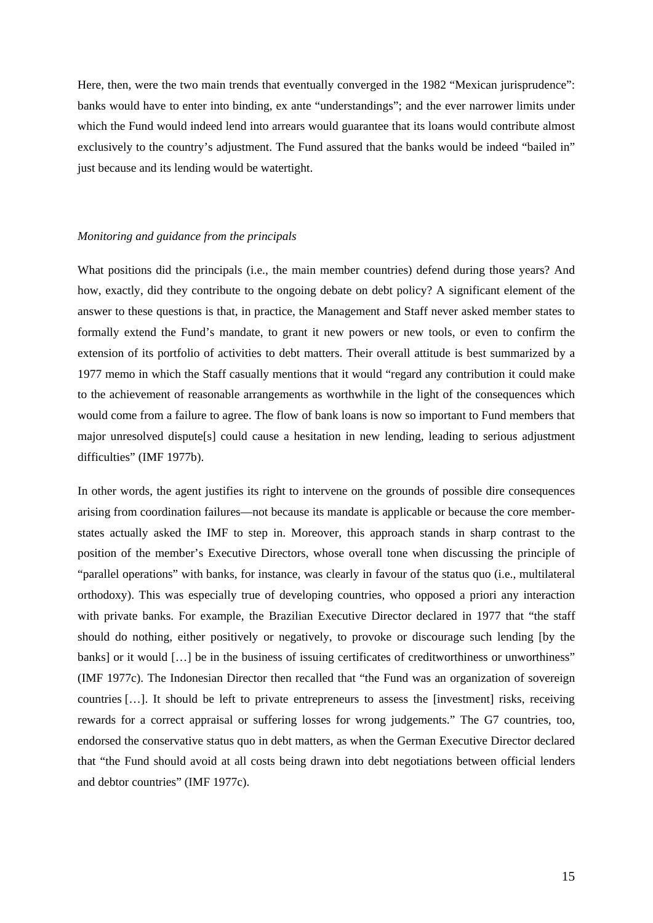Here, then, were the two main trends that eventually converged in the 1982 "Mexican jurisprudence": banks would have to enter into binding, ex ante "understandings"; and the ever narrower limits under which the Fund would indeed lend into arrears would guarantee that its loans would contribute almost exclusively to the country's adjustment. The Fund assured that the banks would be indeed "bailed in" just because and its lending would be watertight.

#### *Monitoring and guidance from the principals*

What positions did the principals (i.e., the main member countries) defend during those years? And how, exactly, did they contribute to the ongoing debate on debt policy? A significant element of the answer to these questions is that, in practice, the Management and Staff never asked member states to formally extend the Fund's mandate, to grant it new powers or new tools, or even to confirm the extension of its portfolio of activities to debt matters. Their overall attitude is best summarized by a 1977 memo in which the Staff casually mentions that it would "regard any contribution it could make to the achievement of reasonable arrangements as worthwhile in the light of the consequences which would come from a failure to agree. The flow of bank loans is now so important to Fund members that major unresolved dispute[s] could cause a hesitation in new lending, leading to serious adjustment difficulties" (IMF 1977b).

In other words, the agent justifies its right to intervene on the grounds of possible dire consequences arising from coordination failures—not because its mandate is applicable or because the core memberstates actually asked the IMF to step in. Moreover, this approach stands in sharp contrast to the position of the member's Executive Directors, whose overall tone when discussing the principle of "parallel operations" with banks, for instance, was clearly in favour of the status quo (i.e., multilateral orthodoxy). This was especially true of developing countries, who opposed a priori any interaction with private banks. For example, the Brazilian Executive Director declared in 1977 that "the staff should do nothing, either positively or negatively, to provoke or discourage such lending [by the banks] or it would […] be in the business of issuing certificates of creditworthiness or unworthiness" (IMF 1977c). The Indonesian Director then recalled that "the Fund was an organization of sovereign countries […]. It should be left to private entrepreneurs to assess the [investment] risks, receiving rewards for a correct appraisal or suffering losses for wrong judgements." The G7 countries, too, endorsed the conservative status quo in debt matters, as when the German Executive Director declared that "the Fund should avoid at all costs being drawn into debt negotiations between official lenders and debtor countries" (IMF 1977c).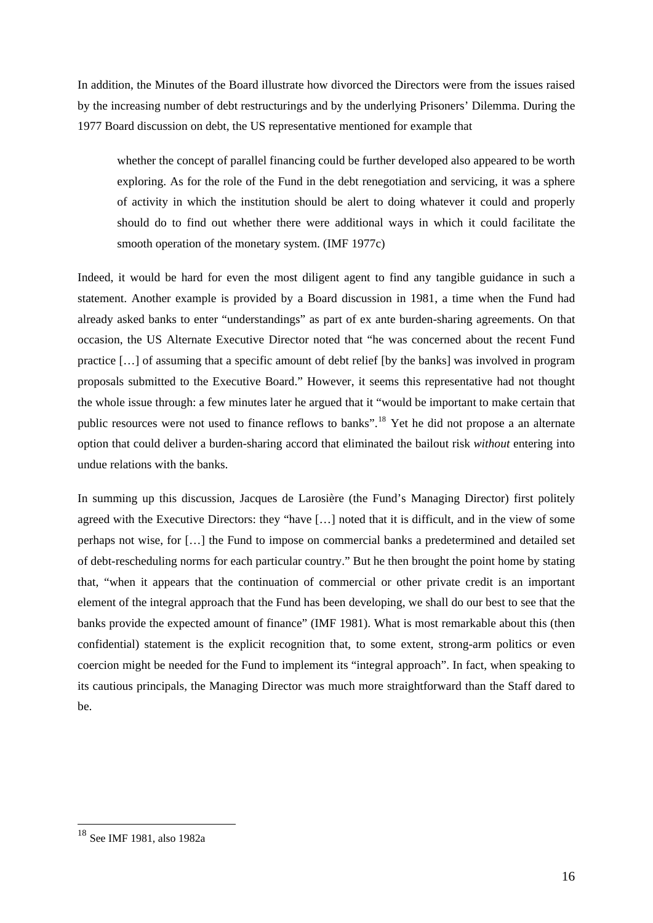In addition, the Minutes of the Board illustrate how divorced the Directors were from the issues raised by the increasing number of debt restructurings and by the underlying Prisoners' Dilemma. During the 1977 Board discussion on debt, the US representative mentioned for example that

whether the concept of parallel financing could be further developed also appeared to be worth exploring. As for the role of the Fund in the debt renegotiation and servicing, it was a sphere of activity in which the institution should be alert to doing whatever it could and properly should do to find out whether there were additional ways in which it could facilitate the smooth operation of the monetary system. (IMF 1977c)

Indeed, it would be hard for even the most diligent agent to find any tangible guidance in such a statement. Another example is provided by a Board discussion in 1981, a time when the Fund had already asked banks to enter "understandings" as part of ex ante burden-sharing agreements. On that occasion, the US Alternate Executive Director noted that "he was concerned about the recent Fund practice […] of assuming that a specific amount of debt relief [by the banks] was involved in program proposals submitted to the Executive Board." However, it seems this representative had not thought the whole issue through: a few minutes later he argued that it "would be important to make certain that public resources were not used to finance reflows to banks".[18](#page-16-0) Yet he did not propose a an alternate option that could deliver a burden-sharing accord that eliminated the bailout risk *without* entering into undue relations with the banks.

In summing up this discussion, Jacques de Larosière (the Fund's Managing Director) first politely agreed with the Executive Directors: they "have […] noted that it is difficult, and in the view of some perhaps not wise, for […] the Fund to impose on commercial banks a predetermined and detailed set of debt-rescheduling norms for each particular country." But he then brought the point home by stating that, "when it appears that the continuation of commercial or other private credit is an important element of the integral approach that the Fund has been developing, we shall do our best to see that the banks provide the expected amount of finance" (IMF 1981). What is most remarkable about this (then confidential) statement is the explicit recognition that, to some extent, strong-arm politics or even coercion might be needed for the Fund to implement its "integral approach". In fact, when speaking to its cautious principals, the Managing Director was much more straightforward than the Staff dared to be.

<span id="page-16-0"></span><sup>18</sup> See IMF 1981, also 1982a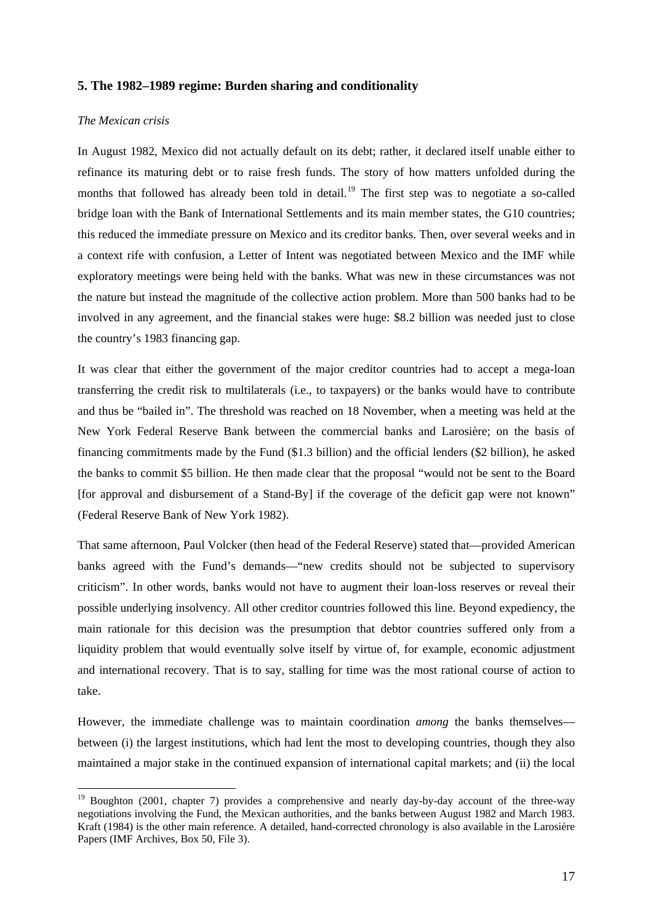# **5. The 1982–1989 regime: Burden sharing and conditionality**

#### *The Mexican crisis*

1

In August 1982, Mexico did not actually default on its debt; rather, it declared itself unable either to refinance its maturing debt or to raise fresh funds. The story of how matters unfolded during the months that followed has already been told in detail.<sup>[19](#page-17-0)</sup> The first step was to negotiate a so-called bridge loan with the Bank of International Settlements and its main member states, the G10 countries; this reduced the immediate pressure on Mexico and its creditor banks. Then, over several weeks and in a context rife with confusion, a Letter of Intent was negotiated between Mexico and the IMF while exploratory meetings were being held with the banks. What was new in these circumstances was not the nature but instead the magnitude of the collective action problem. More than 500 banks had to be involved in any agreement, and the financial stakes were huge: \$8.2 billion was needed just to close the country's 1983 financing gap.

It was clear that either the government of the major creditor countries had to accept a mega-loan transferring the credit risk to multilaterals (i.e., to taxpayers) or the banks would have to contribute and thus be "bailed in". The threshold was reached on 18 November, when a meeting was held at the New York Federal Reserve Bank between the commercial banks and Larosière; on the basis of financing commitments made by the Fund (\$1.3 billion) and the official lenders (\$2 billion), he asked the banks to commit \$5 billion. He then made clear that the proposal "would not be sent to the Board [for approval and disbursement of a Stand-By] if the coverage of the deficit gap were not known" (Federal Reserve Bank of New York 1982).

That same afternoon, Paul Volcker (then head of the Federal Reserve) stated that—provided American banks agreed with the Fund's demands—"new credits should not be subjected to supervisory criticism". In other words, banks would not have to augment their loan-loss reserves or reveal their possible underlying insolvency. All other creditor countries followed this line. Beyond expediency, the main rationale for this decision was the presumption that debtor countries suffered only from a liquidity problem that would eventually solve itself by virtue of, for example, economic adjustment and international recovery. That is to say, stalling for time was the most rational course of action to take.

However, the immediate challenge was to maintain coordination *among* the banks themselves between (i) the largest institutions, which had lent the most to developing countries, though they also maintained a major stake in the continued expansion of international capital markets; and (ii) the local

<span id="page-17-0"></span><sup>&</sup>lt;sup>19</sup> Boughton (2001, chapter 7) provides a comprehensive and nearly day-by-day account of the three-way negotiations involving the Fund, the Mexican authorities, and the banks between August 1982 and March 1983. Kraft (1984) is the other main reference. A detailed, hand-corrected chronology is also available in the Larosière Papers (IMF Archives, Box 50, File 3).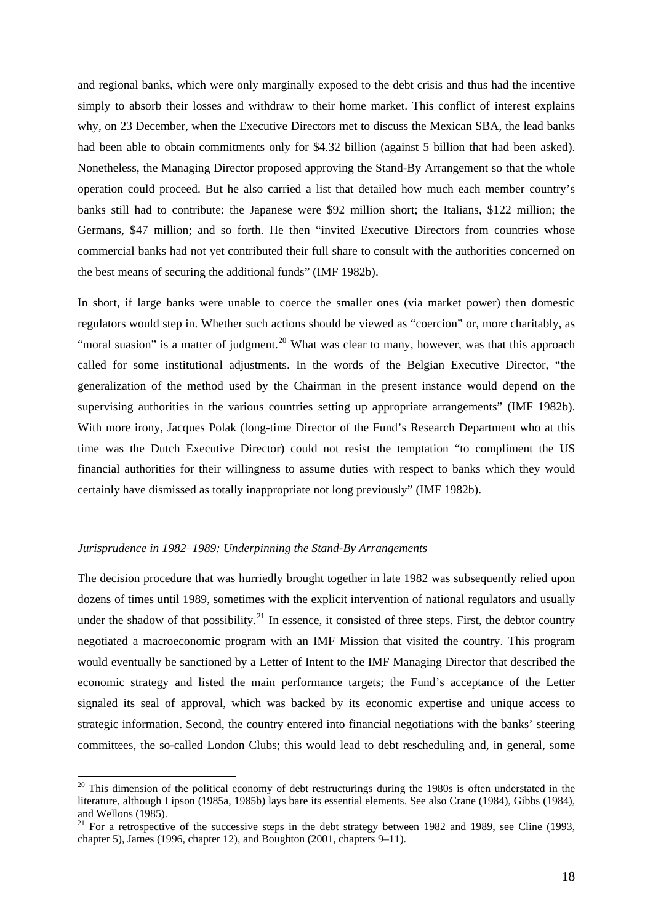and regional banks, which were only marginally exposed to the debt crisis and thus had the incentive simply to absorb their losses and withdraw to their home market. This conflict of interest explains why, on 23 December, when the Executive Directors met to discuss the Mexican SBA, the lead banks had been able to obtain commitments only for \$4.32 billion (against 5 billion that had been asked). Nonetheless, the Managing Director proposed approving the Stand-By Arrangement so that the whole operation could proceed. But he also carried a list that detailed how much each member country's banks still had to contribute: the Japanese were \$92 million short; the Italians, \$122 million; the Germans, \$47 million; and so forth. He then "invited Executive Directors from countries whose commercial banks had not yet contributed their full share to consult with the authorities concerned on the best means of securing the additional funds" (IMF 1982b).

In short, if large banks were unable to coerce the smaller ones (via market power) then domestic regulators would step in. Whether such actions should be viewed as "coercion" or, more charitably, as "moral suasion" is a matter of judgment.<sup>[20](#page-18-0)</sup> What was clear to many, however, was that this approach called for some institutional adjustments. In the words of the Belgian Executive Director, "the generalization of the method used by the Chairman in the present instance would depend on the supervising authorities in the various countries setting up appropriate arrangements" (IMF 1982b). With more irony, Jacques Polak (long-time Director of the Fund's Research Department who at this time was the Dutch Executive Director) could not resist the temptation "to compliment the US financial authorities for their willingness to assume duties with respect to banks which they would certainly have dismissed as totally inappropriate not long previously" (IMF 1982b).

#### *Jurisprudence in 1982–1989: Underpinning the Stand-By Arrangements*

1

The decision procedure that was hurriedly brought together in late 1982 was subsequently relied upon dozens of times until 1989, sometimes with the explicit intervention of national regulators and usually under the shadow of that possibility.<sup>[21](#page-18-1)</sup> In essence, it consisted of three steps. First, the debtor country negotiated a macroeconomic program with an IMF Mission that visited the country. This program would eventually be sanctioned by a Letter of Intent to the IMF Managing Director that described the economic strategy and listed the main performance targets; the Fund's acceptance of the Letter signaled its seal of approval, which was backed by its economic expertise and unique access to strategic information. Second, the country entered into financial negotiations with the banks' steering committees, the so-called London Clubs; this would lead to debt rescheduling and, in general, some

<span id="page-18-0"></span> $20$  This dimension of the political economy of debt restructurings during the 1980s is often understated in the literature, although Lipson (1985a, 1985b) lays bare its essential elements. See also Crane (1984), Gibbs (1984), and Wellons (1985).

<span id="page-18-1"></span><sup>&</sup>lt;sup>21</sup> For a retrospective of the successive steps in the debt strategy between 1982 and 1989, see Cline (1993, chapter 5), James (1996, chapter 12), and Boughton (2001, chapters 9–11).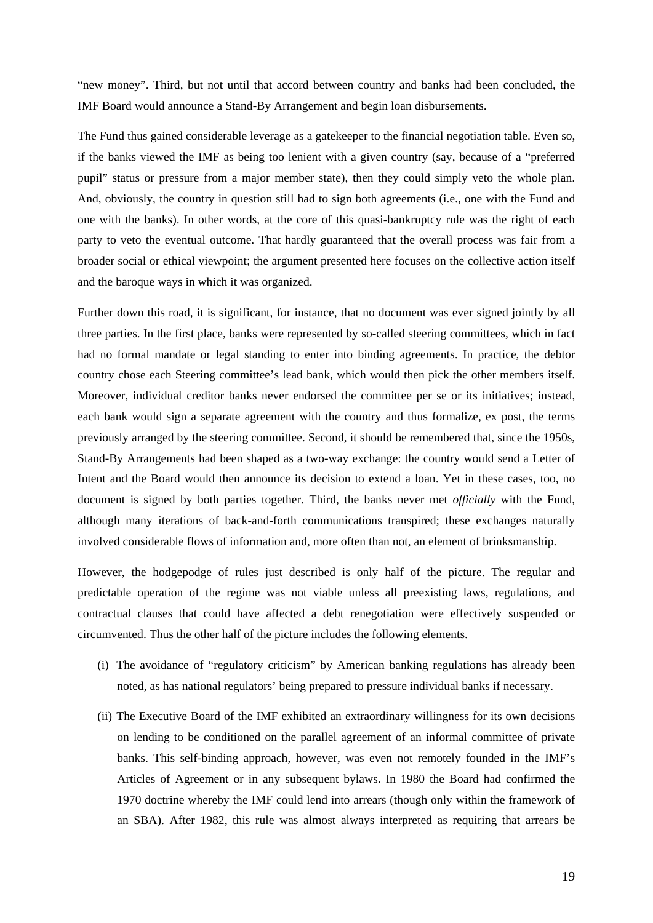"new money". Third, but not until that accord between country and banks had been concluded, the IMF Board would announce a Stand-By Arrangement and begin loan disbursements.

The Fund thus gained considerable leverage as a gatekeeper to the financial negotiation table. Even so, if the banks viewed the IMF as being too lenient with a given country (say, because of a "preferred pupil" status or pressure from a major member state), then they could simply veto the whole plan. And, obviously, the country in question still had to sign both agreements (i.e., one with the Fund and one with the banks). In other words, at the core of this quasi-bankruptcy rule was the right of each party to veto the eventual outcome. That hardly guaranteed that the overall process was fair from a broader social or ethical viewpoint; the argument presented here focuses on the collective action itself and the baroque ways in which it was organized.

Further down this road, it is significant, for instance, that no document was ever signed jointly by all three parties. In the first place, banks were represented by so-called steering committees, which in fact had no formal mandate or legal standing to enter into binding agreements. In practice, the debtor country chose each Steering committee's lead bank, which would then pick the other members itself. Moreover, individual creditor banks never endorsed the committee per se or its initiatives; instead, each bank would sign a separate agreement with the country and thus formalize, ex post, the terms previously arranged by the steering committee. Second, it should be remembered that, since the 1950s, Stand-By Arrangements had been shaped as a two-way exchange: the country would send a Letter of Intent and the Board would then announce its decision to extend a loan. Yet in these cases, too, no document is signed by both parties together. Third, the banks never met *officially* with the Fund, although many iterations of back-and-forth communications transpired; these exchanges naturally involved considerable flows of information and, more often than not, an element of brinksmanship.

However, the hodgepodge of rules just described is only half of the picture. The regular and predictable operation of the regime was not viable unless all preexisting laws, regulations, and contractual clauses that could have affected a debt renegotiation were effectively suspended or circumvented. Thus the other half of the picture includes the following elements.

- (i) The avoidance of "regulatory criticism" by American banking regulations has already been noted, as has national regulators' being prepared to pressure individual banks if necessary.
- (ii) The Executive Board of the IMF exhibited an extraordinary willingness for its own decisions on lending to be conditioned on the parallel agreement of an informal committee of private banks. This self-binding approach, however, was even not remotely founded in the IMF's Articles of Agreement or in any subsequent bylaws. In 1980 the Board had confirmed the 1970 doctrine whereby the IMF could lend into arrears (though only within the framework of an SBA). After 1982, this rule was almost always interpreted as requiring that arrears be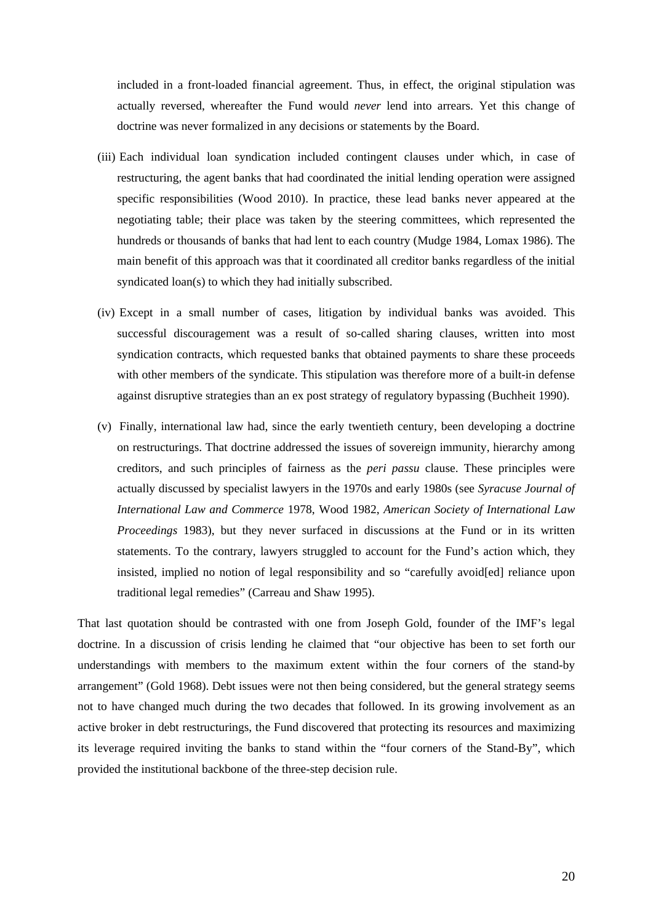included in a front-loaded financial agreement. Thus, in effect, the original stipulation was actually reversed, whereafter the Fund would *never* lend into arrears. Yet this change of doctrine was never formalized in any decisions or statements by the Board.

- (iii) Each individual loan syndication included contingent clauses under which, in case of restructuring, the agent banks that had coordinated the initial lending operation were assigned specific responsibilities (Wood 2010). In practice, these lead banks never appeared at the negotiating table; their place was taken by the steering committees, which represented the hundreds or thousands of banks that had lent to each country (Mudge 1984, Lomax 1986). The main benefit of this approach was that it coordinated all creditor banks regardless of the initial syndicated loan(s) to which they had initially subscribed.
- (iv) Except in a small number of cases, litigation by individual banks was avoided. This successful discouragement was a result of so-called sharing clauses, written into most syndication contracts, which requested banks that obtained payments to share these proceeds with other members of the syndicate. This stipulation was therefore more of a built-in defense against disruptive strategies than an ex post strategy of regulatory bypassing (Buchheit 1990).
- (v) Finally, international law had, since the early twentieth century, been developing a doctrine on restructurings. That doctrine addressed the issues of sovereign immunity, hierarchy among creditors, and such principles of fairness as the *peri passu* clause. These principles were actually discussed by specialist lawyers in the 1970s and early 1980s (see *Syracuse Journal of International Law and Commerce* 1978, Wood 1982, *American Society of International Law Proceedings* 1983), but they never surfaced in discussions at the Fund or in its written statements. To the contrary, lawyers struggled to account for the Fund's action which, they insisted, implied no notion of legal responsibility and so "carefully avoid[ed] reliance upon traditional legal remedies" (Carreau and Shaw 1995).

That last quotation should be contrasted with one from Joseph Gold, founder of the IMF's legal doctrine. In a discussion of crisis lending he claimed that "our objective has been to set forth our understandings with members to the maximum extent within the four corners of the stand-by arrangement" (Gold 1968). Debt issues were not then being considered, but the general strategy seems not to have changed much during the two decades that followed. In its growing involvement as an active broker in debt restructurings, the Fund discovered that protecting its resources and maximizing its leverage required inviting the banks to stand within the "four corners of the Stand-By", which provided the institutional backbone of the three-step decision rule.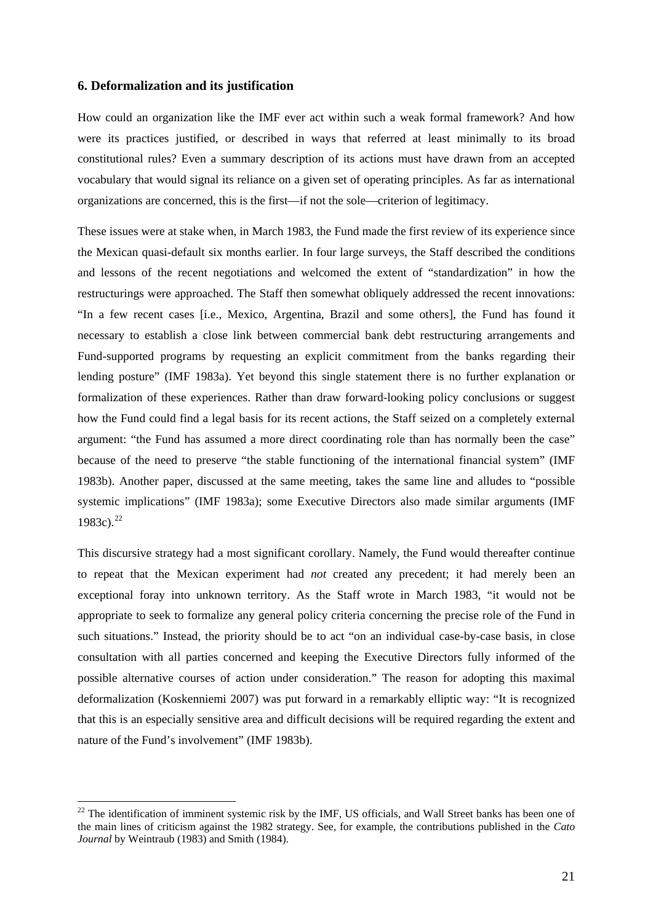# **6. Deformalization and its justification**

1

How could an organization like the IMF ever act within such a weak formal framework? And how were its practices justified, or described in ways that referred at least minimally to its broad constitutional rules? Even a summary description of its actions must have drawn from an accepted vocabulary that would signal its reliance on a given set of operating principles. As far as international organizations are concerned, this is the first—if not the sole—criterion of legitimacy.

These issues were at stake when, in March 1983, the Fund made the first review of its experience since the Mexican quasi-default six months earlier. In four large surveys, the Staff described the conditions and lessons of the recent negotiations and welcomed the extent of "standardization" in how the restructurings were approached. The Staff then somewhat obliquely addressed the recent innovations: "In a few recent cases [i.e., Mexico, Argentina, Brazil and some others], the Fund has found it necessary to establish a close link between commercial bank debt restructuring arrangements and Fund-supported programs by requesting an explicit commitment from the banks regarding their lending posture" (IMF 1983a). Yet beyond this single statement there is no further explanation or formalization of these experiences. Rather than draw forward-looking policy conclusions or suggest how the Fund could find a legal basis for its recent actions, the Staff seized on a completely external argument: "the Fund has assumed a more direct coordinating role than has normally been the case" because of the need to preserve "the stable functioning of the international financial system" (IMF 1983b). Another paper, discussed at the same meeting, takes the same line and alludes to "possible systemic implications" (IMF 1983a); some Executive Directors also made similar arguments (IMF 1983c).<sup>[22](#page-21-0)</sup>

This discursive strategy had a most significant corollary. Namely, the Fund would thereafter continue to repeat that the Mexican experiment had *not* created any precedent; it had merely been an exceptional foray into unknown territory. As the Staff wrote in March 1983, "it would not be appropriate to seek to formalize any general policy criteria concerning the precise role of the Fund in such situations." Instead, the priority should be to act "on an individual case-by-case basis, in close consultation with all parties concerned and keeping the Executive Directors fully informed of the possible alternative courses of action under consideration." The reason for adopting this maximal deformalization (Koskenniemi 2007) was put forward in a remarkably elliptic way: "It is recognized that this is an especially sensitive area and difficult decisions will be required regarding the extent and nature of the Fund's involvement" (IMF 1983b).

<span id="page-21-0"></span><sup>&</sup>lt;sup>22</sup> The identification of imminent systemic risk by the IMF, US officials, and Wall Street banks has been one of the main lines of criticism against the 1982 strategy. See, for example, the contributions published in the *Cato Journal* by Weintraub (1983) and Smith (1984).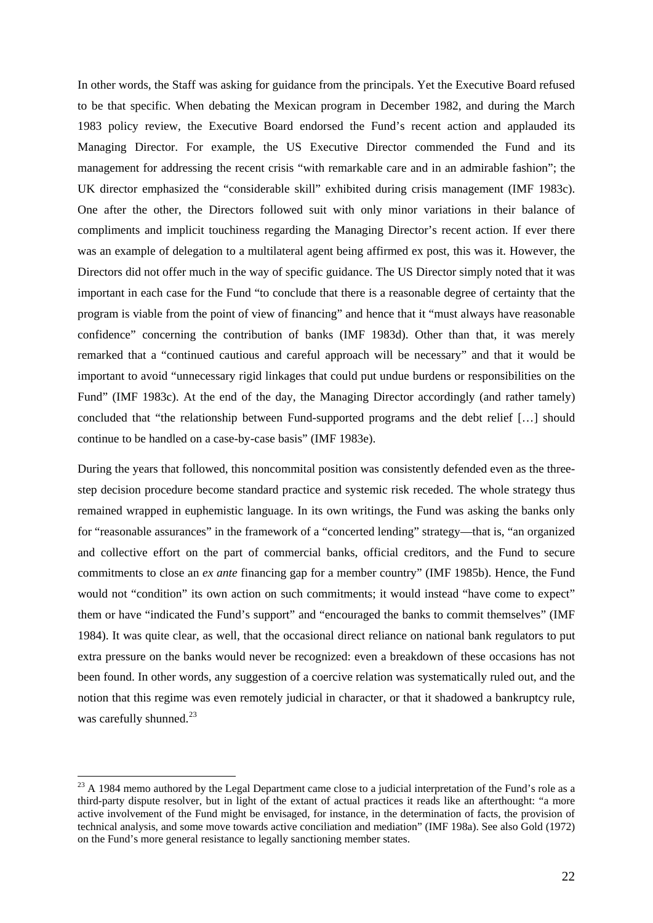In other words, the Staff was asking for guidance from the principals. Yet the Executive Board refused to be that specific. When debating the Mexican program in December 1982, and during the March 1983 policy review, the Executive Board endorsed the Fund's recent action and applauded its Managing Director. For example, the US Executive Director commended the Fund and its management for addressing the recent crisis "with remarkable care and in an admirable fashion"; the UK director emphasized the "considerable skill" exhibited during crisis management (IMF 1983c). One after the other, the Directors followed suit with only minor variations in their balance of compliments and implicit touchiness regarding the Managing Director's recent action. If ever there was an example of delegation to a multilateral agent being affirmed ex post, this was it. However, the Directors did not offer much in the way of specific guidance. The US Director simply noted that it was important in each case for the Fund "to conclude that there is a reasonable degree of certainty that the program is viable from the point of view of financing" and hence that it "must always have reasonable confidence" concerning the contribution of banks (IMF 1983d). Other than that, it was merely remarked that a "continued cautious and careful approach will be necessary" and that it would be important to avoid "unnecessary rigid linkages that could put undue burdens or responsibilities on the Fund" (IMF 1983c). At the end of the day, the Managing Director accordingly (and rather tamely) concluded that "the relationship between Fund-supported programs and the debt relief […] should continue to be handled on a case-by-case basis" (IMF 1983e).

During the years that followed, this noncommital position was consistently defended even as the threestep decision procedure become standard practice and systemic risk receded. The whole strategy thus remained wrapped in euphemistic language. In its own writings, the Fund was asking the banks only for "reasonable assurances" in the framework of a "concerted lending" strategy—that is, "an organized and collective effort on the part of commercial banks, official creditors, and the Fund to secure commitments to close an *ex ante* financing gap for a member country" (IMF 1985b). Hence, the Fund would not "condition" its own action on such commitments; it would instead "have come to expect" them or have "indicated the Fund's support" and "encouraged the banks to commit themselves" (IMF 1984). It was quite clear, as well, that the occasional direct reliance on national bank regulators to put extra pressure on the banks would never be recognized: even a breakdown of these occasions has not been found. In other words, any suggestion of a coercive relation was systematically ruled out, and the notion that this regime was even remotely judicial in character, or that it shadowed a bankruptcy rule, was carefully shunned. $^{23}$  $^{23}$  $^{23}$ 

<span id="page-22-0"></span><sup>&</sup>lt;sup>23</sup> A 1984 memo authored by the Legal Department came close to a judicial interpretation of the Fund's role as a third-party dispute resolver, but in light of the extant of actual practices it reads like an afterthought: "a more active involvement of the Fund might be envisaged, for instance, in the determination of facts, the provision of technical analysis, and some move towards active conciliation and mediation" (IMF 198a). See also Gold (1972) on the Fund's more general resistance to legally sanctioning member states.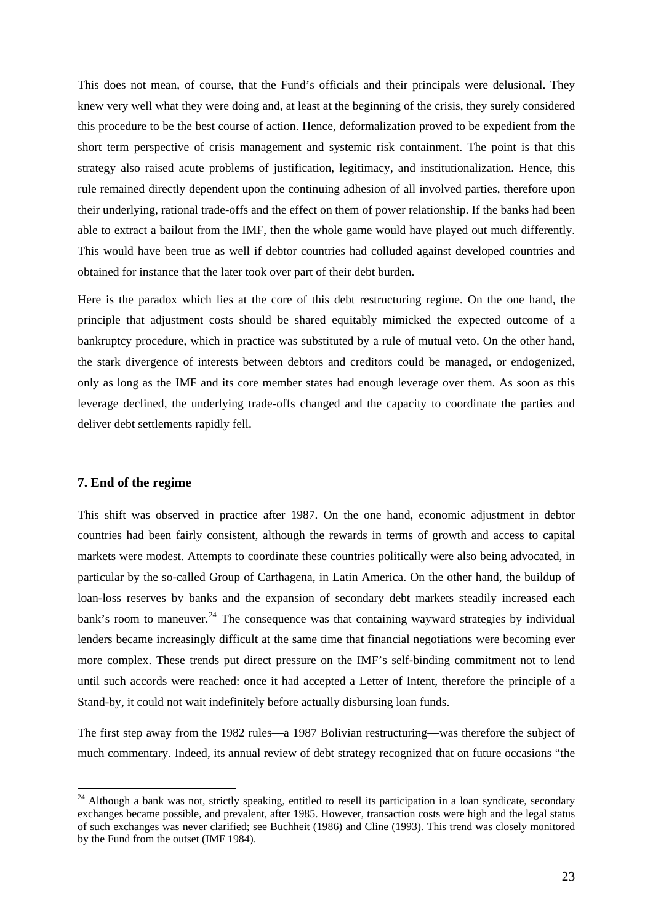This does not mean, of course, that the Fund's officials and their principals were delusional. They knew very well what they were doing and, at least at the beginning of the crisis, they surely considered this procedure to be the best course of action. Hence, deformalization proved to be expedient from the short term perspective of crisis management and systemic risk containment. The point is that this strategy also raised acute problems of justification, legitimacy, and institutionalization. Hence, this rule remained directly dependent upon the continuing adhesion of all involved parties, therefore upon their underlying, rational trade-offs and the effect on them of power relationship. If the banks had been able to extract a bailout from the IMF, then the whole game would have played out much differently. This would have been true as well if debtor countries had colluded against developed countries and obtained for instance that the later took over part of their debt burden.

Here is the paradox which lies at the core of this debt restructuring regime. On the one hand, the principle that adjustment costs should be shared equitably mimicked the expected outcome of a bankruptcy procedure, which in practice was substituted by a rule of mutual veto. On the other hand, the stark divergence of interests between debtors and creditors could be managed, or endogenized, only as long as the IMF and its core member states had enough leverage over them. As soon as this leverage declined, the underlying trade-offs changed and the capacity to coordinate the parties and deliver debt settlements rapidly fell.

### **7. End of the regime**

1

This shift was observed in practice after 1987. On the one hand, economic adjustment in debtor countries had been fairly consistent, although the rewards in terms of growth and access to capital markets were modest. Attempts to coordinate these countries politically were also being advocated, in particular by the so-called Group of Carthagena, in Latin America. On the other hand, the buildup of loan-loss reserves by banks and the expansion of secondary debt markets steadily increased each bank's room to maneuver.<sup>[24](#page-23-0)</sup> The consequence was that containing wayward strategies by individual lenders became increasingly difficult at the same time that financial negotiations were becoming ever more complex. These trends put direct pressure on the IMF's self-binding commitment not to lend until such accords were reached: once it had accepted a Letter of Intent, therefore the principle of a Stand-by, it could not wait indefinitely before actually disbursing loan funds.

The first step away from the 1982 rules—a 1987 Bolivian restructuring—was therefore the subject of much commentary. Indeed, its annual review of debt strategy recognized that on future occasions "the

<span id="page-23-0"></span> $24$  Although a bank was not, strictly speaking, entitled to resell its participation in a loan syndicate, secondary exchanges became possible, and prevalent, after 1985. However, transaction costs were high and the legal status of such exchanges was never clarified; see Buchheit (1986) and Cline (1993). This trend was closely monitored by the Fund from the outset (IMF 1984).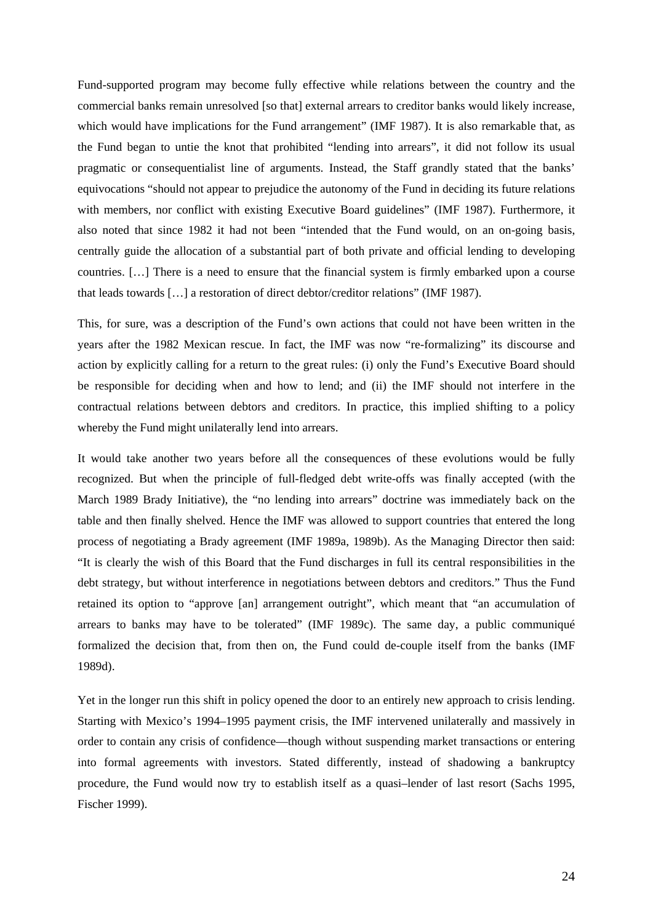Fund-supported program may become fully effective while relations between the country and the commercial banks remain unresolved [so that] external arrears to creditor banks would likely increase, which would have implications for the Fund arrangement" (IMF 1987). It is also remarkable that, as the Fund began to untie the knot that prohibited "lending into arrears", it did not follow its usual pragmatic or consequentialist line of arguments. Instead, the Staff grandly stated that the banks' equivocations "should not appear to prejudice the autonomy of the Fund in deciding its future relations with members, nor conflict with existing Executive Board guidelines" (IMF 1987). Furthermore, it also noted that since 1982 it had not been "intended that the Fund would, on an on-going basis, centrally guide the allocation of a substantial part of both private and official lending to developing countries. […] There is a need to ensure that the financial system is firmly embarked upon a course that leads towards […] a restoration of direct debtor/creditor relations" (IMF 1987).

This, for sure, was a description of the Fund's own actions that could not have been written in the years after the 1982 Mexican rescue. In fact, the IMF was now "re-formalizing" its discourse and action by explicitly calling for a return to the great rules: (i) only the Fund's Executive Board should be responsible for deciding when and how to lend; and (ii) the IMF should not interfere in the contractual relations between debtors and creditors. In practice, this implied shifting to a policy whereby the Fund might unilaterally lend into arrears.

It would take another two years before all the consequences of these evolutions would be fully recognized. But when the principle of full-fledged debt write-offs was finally accepted (with the March 1989 Brady Initiative), the "no lending into arrears" doctrine was immediately back on the table and then finally shelved. Hence the IMF was allowed to support countries that entered the long process of negotiating a Brady agreement (IMF 1989a, 1989b). As the Managing Director then said: "It is clearly the wish of this Board that the Fund discharges in full its central responsibilities in the debt strategy, but without interference in negotiations between debtors and creditors." Thus the Fund retained its option to "approve [an] arrangement outright", which meant that "an accumulation of arrears to banks may have to be tolerated" (IMF 1989c). The same day, a public communiqué formalized the decision that, from then on, the Fund could de-couple itself from the banks (IMF 1989d).

Yet in the longer run this shift in policy opened the door to an entirely new approach to crisis lending. Starting with Mexico's 1994–1995 payment crisis, the IMF intervened unilaterally and massively in order to contain any crisis of confidence—though without suspending market transactions or entering into formal agreements with investors. Stated differently, instead of shadowing a bankruptcy procedure, the Fund would now try to establish itself as a quasi–lender of last resort (Sachs 1995, Fischer 1999).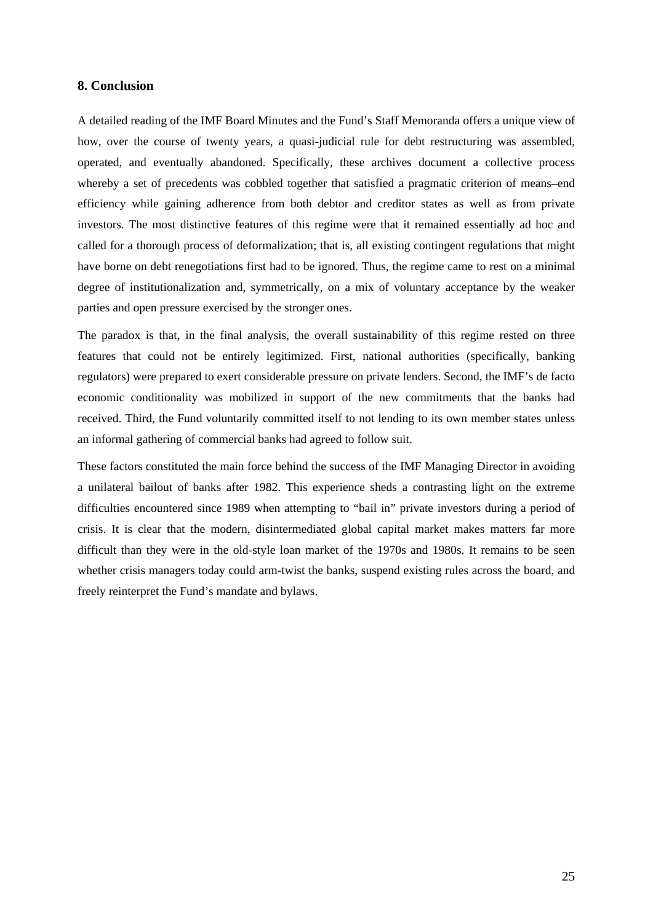## **8. Conclusion**

A detailed reading of the IMF Board Minutes and the Fund's Staff Memoranda offers a unique view of how, over the course of twenty years, a quasi-judicial rule for debt restructuring was assembled, operated, and eventually abandoned. Specifically, these archives document a collective process whereby a set of precedents was cobbled together that satisfied a pragmatic criterion of means–end efficiency while gaining adherence from both debtor and creditor states as well as from private investors. The most distinctive features of this regime were that it remained essentially ad hoc and called for a thorough process of deformalization; that is, all existing contingent regulations that might have borne on debt renegotiations first had to be ignored. Thus, the regime came to rest on a minimal degree of institutionalization and, symmetrically, on a mix of voluntary acceptance by the weaker parties and open pressure exercised by the stronger ones.

The paradox is that, in the final analysis, the overall sustainability of this regime rested on three features that could not be entirely legitimized. First, national authorities (specifically, banking regulators) were prepared to exert considerable pressure on private lenders. Second, the IMF's de facto economic conditionality was mobilized in support of the new commitments that the banks had received. Third, the Fund voluntarily committed itself to not lending to its own member states unless an informal gathering of commercial banks had agreed to follow suit.

These factors constituted the main force behind the success of the IMF Managing Director in avoiding a unilateral bailout of banks after 1982. This experience sheds a contrasting light on the extreme difficulties encountered since 1989 when attempting to "bail in" private investors during a period of crisis. It is clear that the modern, disintermediated global capital market makes matters far more difficult than they were in the old-style loan market of the 1970s and 1980s. It remains to be seen whether crisis managers today could arm-twist the banks, suspend existing rules across the board, and freely reinterpret the Fund's mandate and bylaws.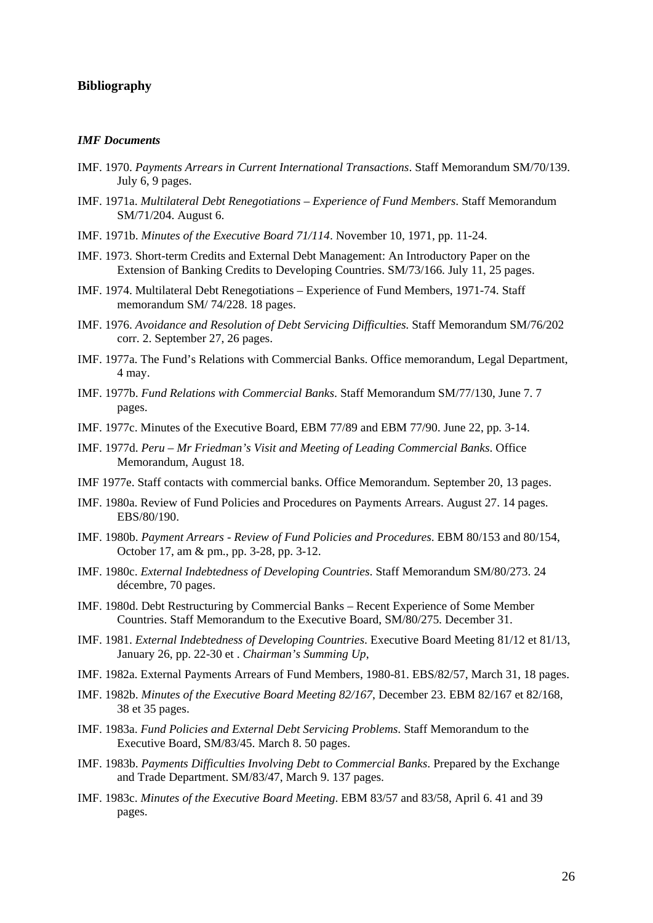## **Bibliography**

### *IMF Documents*

- IMF. 1970. *Payments Arrears in Current International Transactions*. Staff Memorandum SM/70/139. July 6, 9 pages.
- IMF. 1971a. *Multilateral Debt Renegotiations Experience of Fund Members*. Staff Memorandum SM/71/204. August 6.
- IMF. 1971b. *Minutes of the Executive Board 71/114*. November 10, 1971, pp. 11-24.
- IMF. 1973. Short-term Credits and External Debt Management: An Introductory Paper on the Extension of Banking Credits to Developing Countries. SM/73/166. July 11, 25 pages.
- IMF. 1974. Multilateral Debt Renegotiations Experience of Fund Members, 1971-74. Staff memorandum SM/ 74/228. 18 pages.
- IMF. 1976. *Avoidance and Resolution of Debt Servicing Difficulties*. Staff Memorandum SM/76/202 corr. 2. September 27, 26 pages.
- IMF. 1977a. The Fund's Relations with Commercial Banks. Office memorandum, Legal Department, 4 may.
- IMF. 1977b. *Fund Relations with Commercial Banks*. Staff Memorandum SM/77/130, June 7. 7 pages.
- IMF. 1977c. Minutes of the Executive Board, EBM 77/89 and EBM 77/90. June 22, pp. 3-14.
- IMF. 1977d. *Peru Mr Friedman's Visit and Meeting of Leading Commercial Banks*. Office Memorandum, August 18.
- IMF 1977e. Staff contacts with commercial banks. Office Memorandum. September 20, 13 pages.
- IMF. 1980a. Review of Fund Policies and Procedures on Payments Arrears. August 27. 14 pages. EBS/80/190.
- IMF. 1980b. *Payment Arrears Review of Fund Policies and Procedures*. EBM 80/153 and 80/154, October 17, am & pm., pp. 3-28, pp. 3-12.
- IMF. 1980c. *External Indebtedness of Developing Countries*. Staff Memorandum SM/80/273. 24 décembre, 70 pages.
- IMF. 1980d. Debt Restructuring by Commercial Banks Recent Experience of Some Member Countries. Staff Memorandum to the Executive Board, SM/80/275. December 31.
- IMF. 1981. *External Indebtedness of Developing Countries*. Executive Board Meeting 81/12 et 81/13, January 26, pp. 22-30 et . *Chairman's Summing Up*,
- IMF. 1982a. External Payments Arrears of Fund Members, 1980-81. EBS/82/57, March 31, 18 pages.
- IMF. 1982b. *Minutes of the Executive Board Meeting 82/167*, December 23. EBM 82/167 et 82/168, 38 et 35 pages.
- IMF. 1983a. *Fund Policies and External Debt Servicing Problems*. Staff Memorandum to the Executive Board, SM/83/45. March 8. 50 pages.
- IMF. 1983b. *Payments Difficulties Involving Debt to Commercial Banks*. Prepared by the Exchange and Trade Department. SM/83/47, March 9. 137 pages.
- IMF. 1983c. *Minutes of the Executive Board Meeting*. EBM 83/57 and 83/58, April 6. 41 and 39 pages.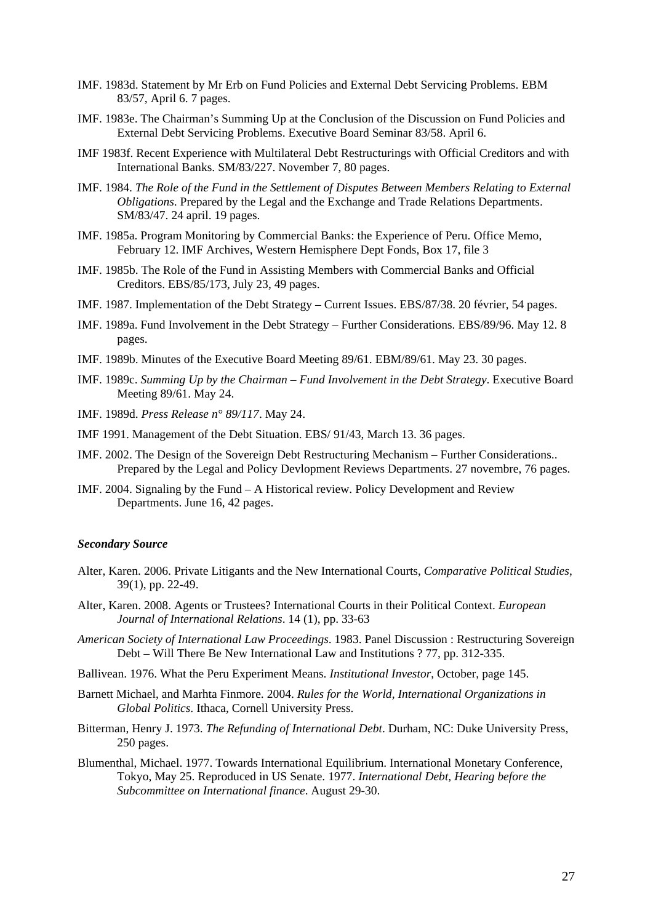- IMF. 1983d. Statement by Mr Erb on Fund Policies and External Debt Servicing Problems. EBM 83/57, April 6. 7 pages.
- IMF. 1983e. The Chairman's Summing Up at the Conclusion of the Discussion on Fund Policies and External Debt Servicing Problems. Executive Board Seminar 83/58. April 6.
- IMF 1983f. Recent Experience with Multilateral Debt Restructurings with Official Creditors and with International Banks. SM/83/227. November 7, 80 pages.
- IMF. 1984. *The Role of the Fund in the Settlement of Disputes Between Members Relating to External Obligations*. Prepared by the Legal and the Exchange and Trade Relations Departments. SM/83/47. 24 april. 19 pages.
- IMF. 1985a. Program Monitoring by Commercial Banks: the Experience of Peru. Office Memo, February 12. IMF Archives, Western Hemisphere Dept Fonds, Box 17, file 3
- IMF. 1985b. The Role of the Fund in Assisting Members with Commercial Banks and Official Creditors. EBS/85/173, July 23, 49 pages.
- IMF. 1987. Implementation of the Debt Strategy Current Issues. EBS/87/38. 20 février, 54 pages.
- IMF. 1989a. Fund Involvement in the Debt Strategy Further Considerations. EBS/89/96. May 12. 8 pages.
- IMF. 1989b. Minutes of the Executive Board Meeting 89/61. EBM/89/61. May 23. 30 pages.
- IMF. 1989c. *Summing Up by the Chairman Fund Involvement in the Debt Strategy*. Executive Board Meeting 89/61. May 24.
- IMF. 1989d. *Press Release n° 89/117*. May 24.
- IMF 1991. Management of the Debt Situation. EBS/ 91/43, March 13. 36 pages.
- IMF. 2002. The Design of the Sovereign Debt Restructuring Mechanism Further Considerations.. Prepared by the Legal and Policy Devlopment Reviews Departments. 27 novembre, 76 pages.
- IMF. 2004. Signaling by the Fund A Historical review. Policy Development and Review Departments. June 16, 42 pages.

#### *Secondary Source*

- Alter, Karen. 2006. Private Litigants and the New International Courts, *Comparative Political Studies*, 39(1), pp. 22-49.
- Alter, Karen. 2008. Agents or Trustees? International Courts in their Political Context. *European Journal of International Relations*. 14 (1), pp. 33-63
- *American Society of International Law Proceedings*. 1983. Panel Discussion : Restructuring Sovereign Debt – Will There Be New International Law and Institutions ? 77, pp. 312-335.
- Ballivean. 1976. What the Peru Experiment Means. *Institutional Investor*, October, page 145.
- Barnett Michael, and Marhta Finmore. 2004. *Rules for the World, International Organizations in Global Politics*. Ithaca, Cornell University Press.
- Bitterman, Henry J. 1973. *The Refunding of International Debt*. Durham, NC: Duke University Press, 250 pages.
- Blumenthal, Michael. 1977. Towards International Equilibrium. International Monetary Conference, Tokyo, May 25. Reproduced in US Senate. 1977. *International Debt, Hearing before the Subcommittee on International finance*. August 29-30.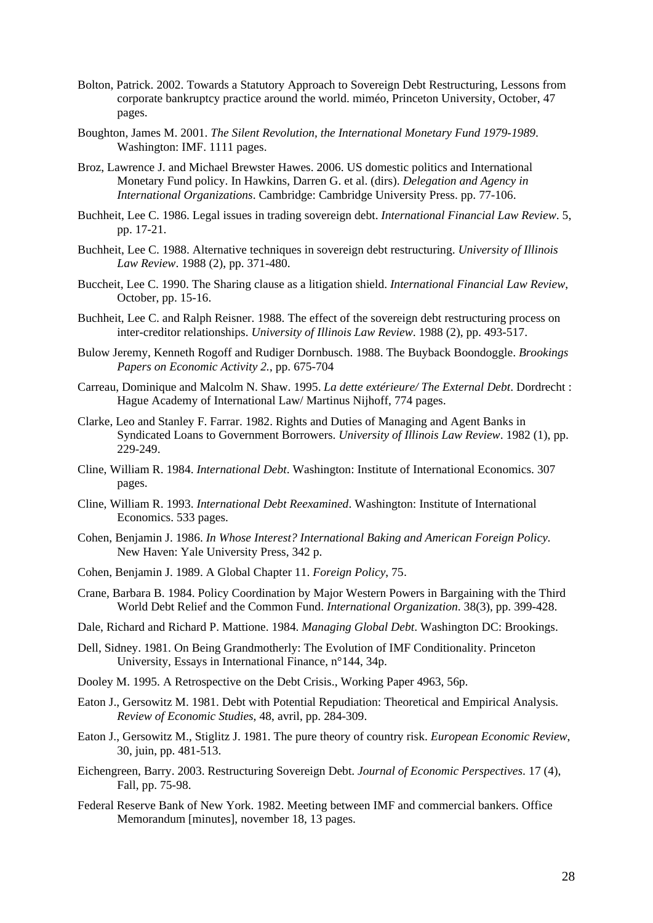- Bolton, Patrick. 2002. Towards a Statutory Approach to Sovereign Debt Restructuring, Lessons from corporate bankruptcy practice around the world. miméo, Princeton University, October, 47 pages.
- Boughton, James M. 2001. *The Silent Revolution, the International Monetary Fund 1979-1989*. Washington: IMF. 1111 pages.
- Broz, Lawrence J. and Michael Brewster Hawes. 2006. US domestic politics and International Monetary Fund policy. In Hawkins, Darren G. et al. (dirs). *Delegation and Agency in International Organizations*. Cambridge: Cambridge University Press. pp. 77-106.
- Buchheit, Lee C. 1986. Legal issues in trading sovereign debt. *International Financial Law Review*. 5, pp. 17-21.
- Buchheit, Lee C. 1988. Alternative techniques in sovereign debt restructuring. *University of Illinois Law Review*. 1988 (2), pp. 371-480.
- Buccheit, Lee C. 1990. The Sharing clause as a litigation shield. *International Financial Law Review*, October, pp. 15-16.
- Buchheit, Lee C. and Ralph Reisner. 1988. The effect of the sovereign debt restructuring process on inter-creditor relationships. *University of Illinois Law Review*. 1988 (2), pp. 493-517.
- Bulow Jeremy, Kenneth Rogoff and Rudiger Dornbusch. 1988. The Buyback Boondoggle. *Brookings Papers on Economic Activity 2.*, pp. 675-704
- Carreau, Dominique and Malcolm N. Shaw. 1995. *La dette extérieure/ The External Debt*. Dordrecht : Hague Academy of International Law/ Martinus Nijhoff, 774 pages.
- Clarke, Leo and Stanley F. Farrar. 1982. Rights and Duties of Managing and Agent Banks in Syndicated Loans to Government Borrowers. *University of Illinois Law Review*. 1982 (1), pp. 229-249.
- Cline, William R. 1984. *International Debt*. Washington: Institute of International Economics. 307 pages.
- Cline, William R. 1993. *International Debt Reexamined*. Washington: Institute of International Economics. 533 pages.
- Cohen, Benjamin J. 1986. *In Whose Interest? International Baking and American Foreign Policy*. New Haven: Yale University Press, 342 p.
- Cohen, Benjamin J. 1989. A Global Chapter 11. *Foreign Policy*, 75.
- Crane, Barbara B. 1984. Policy Coordination by Major Western Powers in Bargaining with the Third World Debt Relief and the Common Fund. *International Organization*. 38(3), pp. 399-428.
- Dale, Richard and Richard P. Mattione. 1984. *Managing Global Debt*. Washington DC: Brookings.
- Dell, Sidney. 1981. On Being Grandmotherly: The Evolution of IMF Conditionality. Princeton University, Essays in International Finance, n°144, 34p.
- Dooley M. 1995. A Retrospective on the Debt Crisis., Working Paper 4963, 56p.
- Eaton J., Gersowitz M. 1981. Debt with Potential Repudiation: Theoretical and Empirical Analysis. *Review of Economic Studies*, 48, avril, pp. 284-309.
- Eaton J., Gersowitz M., Stiglitz J. 1981. The pure theory of country risk. *European Economic Review*, 30, juin, pp. 481-513.
- Eichengreen, Barry. 2003. Restructuring Sovereign Debt. *Journal of Economic Perspectives*. 17 (4), Fall, pp. 75-98.
- Federal Reserve Bank of New York. 1982. Meeting between IMF and commercial bankers. Office Memorandum [minutes], november 18, 13 pages.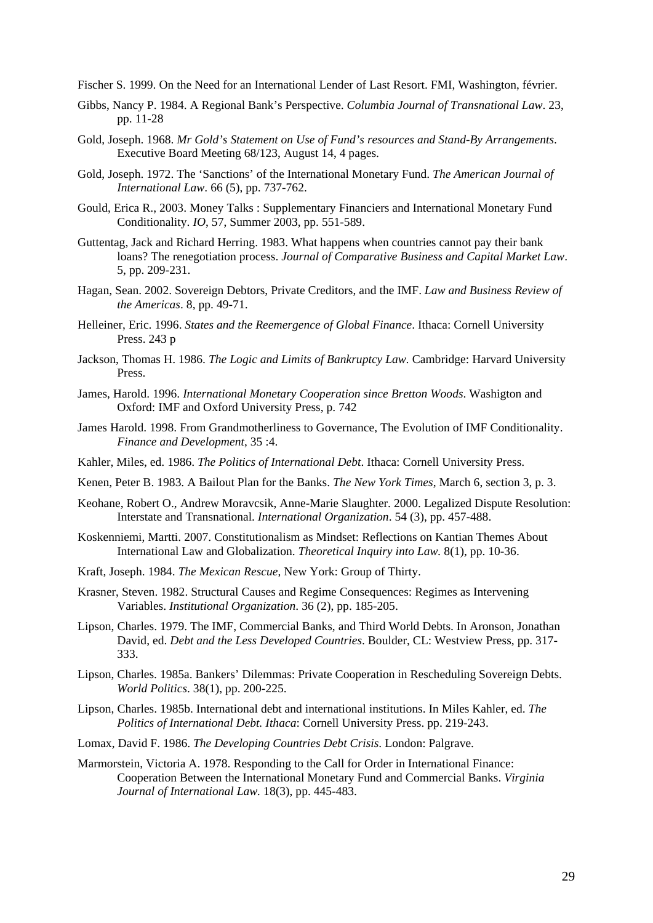Fischer S. 1999. On the Need for an International Lender of Last Resort. FMI, Washington, février.

- Gibbs, Nancy P. 1984. A Regional Bank's Perspective. *Columbia Journal of Transnational Law*. 23, pp. 11-28
- Gold, Joseph. 1968. *Mr Gold's Statement on Use of Fund's resources and Stand-By Arrangements*. Executive Board Meeting 68/123, August 14, 4 pages.
- Gold, Joseph. 1972. The 'Sanctions' of the International Monetary Fund. *The American Journal of International Law*. 66 (5), pp. 737-762.
- Gould, Erica R., 2003. Money Talks : Supplementary Financiers and International Monetary Fund Conditionality. *IO*, 57, Summer 2003, pp. 551-589.
- Guttentag, Jack and Richard Herring. 1983. What happens when countries cannot pay their bank loans? The renegotiation process. *Journal of Comparative Business and Capital Market Law*. 5, pp. 209-231.
- Hagan, Sean. 2002. Sovereign Debtors, Private Creditors, and the IMF. *Law and Business Review of the Americas*. 8, pp. 49-71.
- Helleiner, Eric. 1996. *States and the Reemergence of Global Finance*. Ithaca: Cornell University Press. 243 p
- Jackson, Thomas H. 1986. *The Logic and Limits of Bankruptcy Law.* Cambridge: Harvard University Press.
- James, Harold. 1996. *International Monetary Cooperation since Bretton Woods*. Washigton and Oxford: IMF and Oxford University Press, p. 742
- James Harold. 1998. From Grandmotherliness to Governance, The Evolution of IMF Conditionality. *Finance and Development*, 35 :4.
- Kahler, Miles, ed. 1986. *The Politics of International Debt*. Ithaca: Cornell University Press.
- Kenen, Peter B. 1983. A Bailout Plan for the Banks. *The New York Times*, March 6, section 3, p. 3.
- Keohane, Robert O., Andrew Moravcsik, Anne-Marie Slaughter. 2000. Legalized Dispute Resolution: Interstate and Transnational. *International Organization*. 54 (3), pp. 457-488.
- Koskenniemi, Martti. 2007. Constitutionalism as Mindset: Reflections on Kantian Themes About International Law and Globalization. *Theoretical Inquiry into Law.* 8(1), pp. 10-36.
- Kraft, Joseph. 1984. *The Mexican Rescue*, New York: Group of Thirty.
- Krasner, Steven. 1982. Structural Causes and Regime Consequences: Regimes as Intervening Variables. *Institutional Organization*. 36 (2), pp. 185-205.
- Lipson, Charles. 1979. The IMF, Commercial Banks, and Third World Debts. In Aronson, Jonathan David, ed. *Debt and the Less Developed Countries*. Boulder, CL: Westview Press, pp. 317- 333.
- Lipson, Charles. 1985a. Bankers' Dilemmas: Private Cooperation in Rescheduling Sovereign Debts. *World Politics*. 38(1), pp. 200-225.
- Lipson, Charles. 1985b. International debt and international institutions. In Miles Kahler, ed. *The Politics of International Debt. Ithaca*: Cornell University Press. pp. 219-243.
- Lomax, David F. 1986. *The Developing Countries Debt Crisis*. London: Palgrave.
- Marmorstein, Victoria A. 1978. Responding to the Call for Order in International Finance: Cooperation Between the International Monetary Fund and Commercial Banks. *Virginia Journal of International Law.* 18(3), pp. 445-483.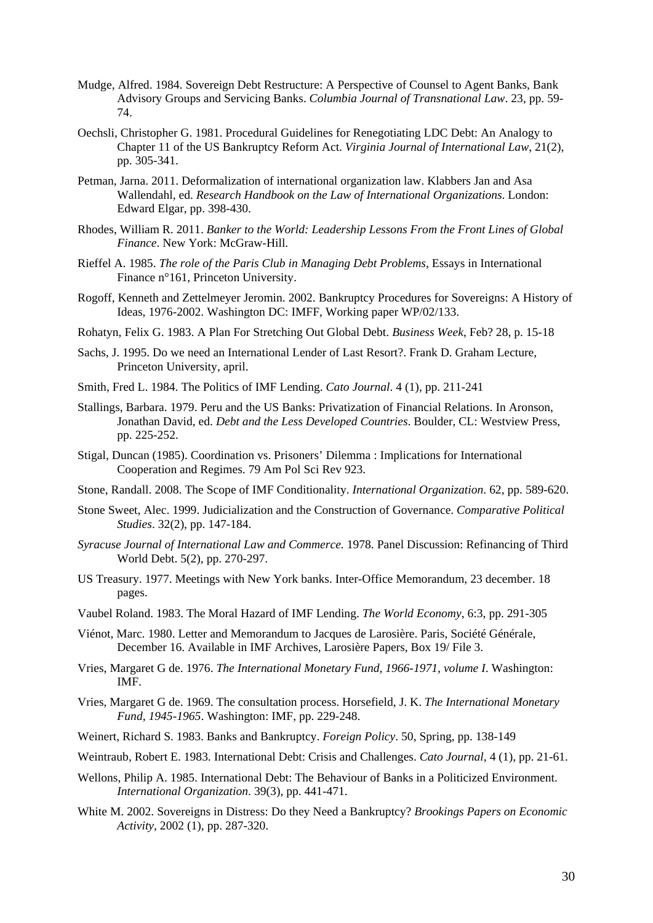- Mudge, Alfred. 1984. Sovereign Debt Restructure: A Perspective of Counsel to Agent Banks, Bank Advisory Groups and Servicing Banks. *Columbia Journal of Transnational Law*. 23, pp. 59- 74.
- Oechsli, Christopher G. 1981. Procedural Guidelines for Renegotiating LDC Debt: An Analogy to Chapter 11 of the US Bankruptcy Reform Act. *Virginia Journal of International Law*, 21(2), pp. 305-341.
- Petman, Jarna. 2011. Deformalization of international organization law. Klabbers Jan and Asa Wallendahl, ed. *Research Handbook on the Law of International Organizations*. London: Edward Elgar, pp. 398-430.
- [Rhodes,](http://www.amazon.com/William-R.-Rhodes/e/B004WKD2AY/ref=sr_ntt_srch_lnk_1?qid=1310041700&sr=1-1) William R. 2011. *[Banker to the World: Leadership Lessons From the Front Lines of Global](http://www.amazon.com/Banker-World-Leadership-Lessons-Finance/dp/0071704256/ref=sr_1_1?s=books&ie=UTF8&qid=1310041700&sr=1-1)  [Finance](http://www.amazon.com/Banker-World-Leadership-Lessons-Finance/dp/0071704256/ref=sr_1_1?s=books&ie=UTF8&qid=1310041700&sr=1-1)*. New York: McGraw-Hill.
- Rieffel A. 1985. *The role of the Paris Club in Managing Debt Problems*, Essays in International Finance n°161, Princeton University.
- Rogoff, Kenneth and Zettelmeyer Jeromin. 2002. Bankruptcy Procedures for Sovereigns: A History of Ideas, 1976-2002. Washington DC: IMFF, Working paper WP/02/133.
- Rohatyn, Felix G. 1983. A Plan For Stretching Out Global Debt. *Business Week*, Feb? 28, p. 15-18
- Sachs, J. 1995. Do we need an International Lender of Last Resort?. Frank D. Graham Lecture, Princeton University, april.
- Smith, Fred L. 1984. The Politics of IMF Lending. *Cato Journal*. 4 (1), pp. 211-241
- Stallings, Barbara. 1979. Peru and the US Banks: Privatization of Financial Relations. In Aronson, Jonathan David, ed. *Debt and the Less Developed Countries*. Boulder, CL: Westview Press, pp. 225-252.
- Stigal, Duncan (1985). Coordination vs. Prisoners' Dilemma : Implications for International Cooperation and Regimes. 79 Am Pol Sci Rev 923.
- Stone, Randall. 2008. The Scope of IMF Conditionality. *International Organization*. 62, pp. 589-620.
- Stone Sweet, Alec. 1999. Judicialization and the Construction of Governance. *Comparative Political Studies*. 32(2), pp. 147-184.
- *Syracuse Journal of International Law and Commerce.* 1978. Panel Discussion: Refinancing of Third World Debt. 5(2), pp. 270-297.
- US Treasury. 1977. Meetings with New York banks. Inter-Office Memorandum, 23 december. 18 pages.
- Vaubel Roland. 1983. The Moral Hazard of IMF Lending. *The World Economy*, 6:3, pp. 291-305
- Viénot, Marc. 1980. Letter and Memorandum to Jacques de Larosière. Paris, Société Générale, December 16. Available in IMF Archives, Larosière Papers, Box 19/ File 3.
- Vries, Margaret G de. 1976. *The International Monetary Fund, 1966-1971, volume I*. Washington: IMF.
- Vries, Margaret G de. 1969. The consultation process. Horsefield, J. K. *The International Monetary Fund, 1945-1965*. Washington: IMF, pp. 229-248.
- Weinert, Richard S. 1983. Banks and Bankruptcy. *Foreign Policy*. 50, Spring, pp. 138-149
- Weintraub, Robert E. 1983. International Debt: Crisis and Challenges. *Cato Journal*, 4 (1), pp. 21-61.
- Wellons, Philip A. 1985. International Debt: The Behaviour of Banks in a Politicized Environment. *International Organization*. 39(3), pp. 441-471.
- White M. 2002. Sovereigns in Distress: Do they Need a Bankruptcy? *Brookings Papers on Economic Activity*, 2002 (1), pp. 287-320.